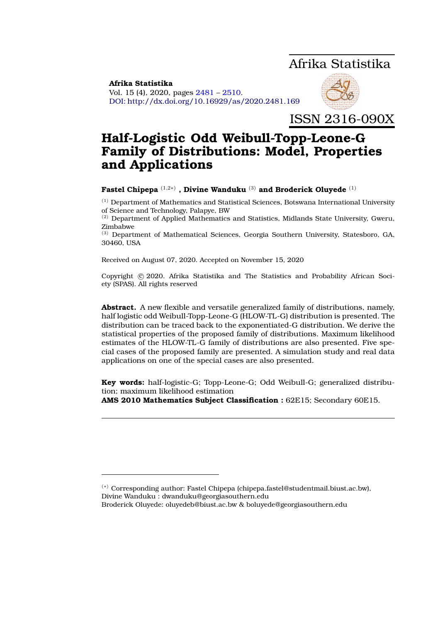# Afrika Statistika

<span id="page-0-0"></span>**Afrika Statistika** Vol. 15 (4), 2020, pages [2481](#page-0-0) – [2510.](#page-27-0) DOI: http://dx.doi.org/10.16929/as/2020.2481.169



ISSN 2316-090X

# **Half-Logistic Odd Weibull-Topp-Leone-G Family of Distributions: Model, Properties and Applications**

# **Fastel Chipepa** (1,2∗) **, Divine Wanduku** (3) **and Broderick Oluyede** (1)

 $^{(1)}$  Department of Mathematics and Statistical Sciences, Botswana International University of Science and Technology, Palapye, BW

(2) Department of Applied Mathematics and Statistics, Midlands State University, Gweru, Zimbabwe

(3) Department of Mathematical Sciences, Georgia Southern University, Statesboro, GA, 30460, USA

Received on August 07, 2020. Accepted on November 15, 2020

Copyright © 2020. Afrika Statistika and The Statistics and Probability African Society (SPAS). All rights reserved

**Abstract.** A new flexible and versatile generalized family of distributions, namely, half logistic odd Weibull-Topp-Leone-G (HLOW-TL-G) distribution is presented. The distribution can be traced back to the exponentiated-G distribution. We derive the statistical properties of the proposed family of distributions. Maximum likelihood estimates of the HLOW-TL-G family of distributions are also presented. Five special cases of the proposed family are presented. A simulation study and real data applications on one of the special cases are also presented.

**Key words:** half-logistic-G; Topp-Leone-G; Odd Weibull-G; generalized distribution; maximum likelihood estimation

**AMS 2010 Mathematics Subject Classification :** 62E15; Secondary 60E15.

Broderick Oluyede: oluyedeb@biust.ac.bw & boluyede@georgiasouthern.edu

<sup>(</sup>∗) Corresponding author: Fastel Chipepa (chipepa.fastel@studentmail.biust.ac.bw), Divine Wanduku : dwanduku@georgiasouthern.edu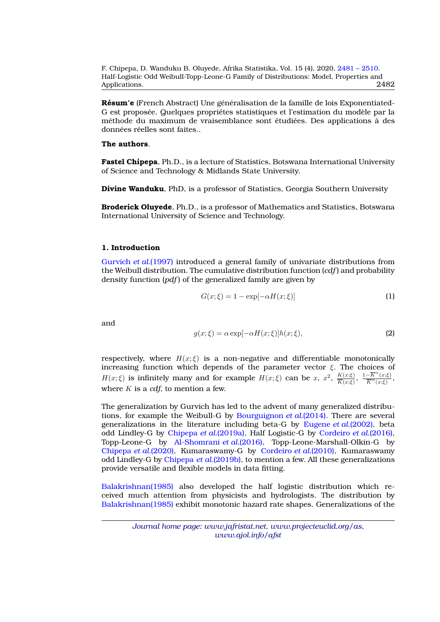**Résum'e** (French Abstract) Une généralisation de la famille de lois Exponentiated-G est proposée. Quelques propriétes statistiques et l'estimation du modèle par la méthode du maximum de vraisemblance sont étudiées. Des applications à des données réelles sont faites..

# **The authors**.

**Fastel Chipepa**, Ph.D., is a lecture of Statistics, Botswana International University of Science and Technology & Midlands State University.

**Divine Wanduku**, PhD, is a professor of Statistics, Georgia Southern University

**Broderick Oluyede**, Ph.D., is a professor of Mathematics and Statistics, Botswana International University of Science and Technology.

## **1. Introduction**

[Gurvich](#page-28-0) *et al.*(1997) introduced a general family of univariate distributions from the Weibull distribution. The cumulative distribution function (*cdf* ) and probability density function (*pdf* ) of the generalized family are given by

$$
G(x; \xi) = 1 - \exp[-\alpha H(x; \xi)]
$$
\n(1)

and

$$
g(x; \xi) = \alpha \exp[-\alpha H(x; \xi)] h(x; \xi), \tag{2}
$$

respectively, where  $H(x;\xi)$  is a non-negative and differentiable monotonically increasing function which depends of the parameter vector  $\xi$ . The choices of  $H(x;\xi)$  is infinitely many and for example  $H(x;\xi)$  can be x,  $x^2$ ,  $\frac{K(x;\xi)}{K(x;\xi)}$  $\frac{K(x;\xi)}{\overline{K}(x;\xi)}, \frac{1-\overline{K}^{\alpha}(x;\xi)}{\overline{K}^{\alpha}(x;\xi)}$  $\frac{-\mathbf{A}^{\mathrm{T}}(x;\xi)}{\overline{K}^{\alpha}(x;\xi)},$ where K is a *cdf*, to mention a few.

The generalization by Gurvich has led to the advent of many generalized distributions, for example the Weibull-G by [Bourguignon](#page-28-1) *et al.*(2014). There are several generalizations in the literature including beta-G by [Eugene](#page-28-2) *et al.*(2002), beta odd Lindley-G by [Chipepa](#page-28-3) *et al.*(2019a), Half Logistic-G by [Cordeiro](#page-28-4) *et al.*(2016), Topp-Leone-G by [Al-Shomrani](#page-27-1) *et al.*(2016), Topp-Leone-Marshall-Olkin-G by [Chipepa](#page-28-5) *et al.*(2020), Kumaraswamy-G by [Cordeiro](#page-28-6) *et al.*(2010), Kumaraswamy odd Lindley-G by [Chipepa](#page-28-7) *et al.*(2019b), to mention a few. All these generalizations provide versatile and flexible models in data fitting.

[Balakrishnan\(1985\)](#page-28-8) also developed the half logistic distribution which received much attention from physicists and hydrologists. The distribution by [Balakrishnan\(1985\)](#page-28-8) exhibit monotonic hazard rate shapes. Generalizations of the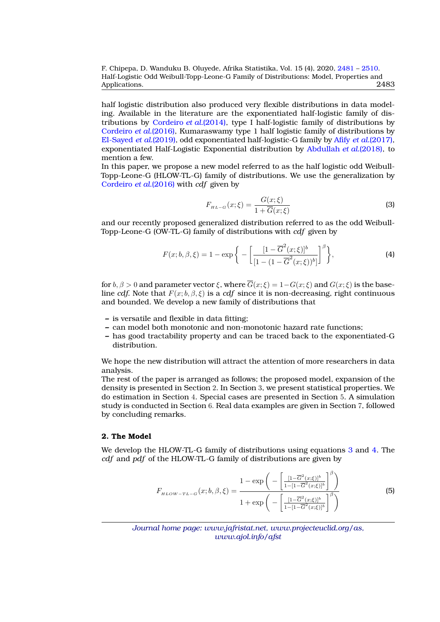F. Chipepa, D. Wanduku B. Oluyede, Afrika Statistika, Vol. 15 (4), 2020, [2481](#page-0-0) – [2510.](#page-27-0) Half-Logistic Odd Weibull-Topp-Leone-G Family of Distributions: Model, Properties and Applications. 2483

half logistic distribution also produced very flexible distributions in data modeling. Available in the literature are the exponentiated half-logistic family of distributions by [Cordeiro](#page-28-9) *et al.*(2014), type I half-logistic family of distributions by [Cordeiro](#page-28-4) *et al.*(2016), Kumaraswamy type 1 half logistic family of distributions by [El-Sayed](#page-28-10) *et al.*(2019), odd exponentiated half-logistic-G family by Afify *et al.*[\(2017\),](#page-27-2) exponentiated Half-Logistic Exponential distribution by [Abdullah](#page-27-3) *et al.*(2018), to mention a few.

In this paper, we propose a new model referred to as the half logistic odd Weibull-Topp-Leone-G (HLOW-TL-G) family of distributions. We use the generalization by [Cordeiro](#page-28-4) *et al.*(2016) with *cdf* given by

<span id="page-2-0"></span>
$$
F_{\mu_{L-G}}(x;\xi) = \frac{G(x;\xi)}{1 + \overline{G}(x;\xi)}\tag{3}
$$

and our recently proposed generalized distribution referred to as the odd Weibull-Topp-Leone-G (OW-TL-G) family of distributions with *cdf* given by

<span id="page-2-1"></span>
$$
F(x; b, \beta, \xi) = 1 - \exp\bigg\{-\bigg[\frac{[1 - \overline{G}^{2}(x; \xi)]^{b}}{[1 - (1 - \overline{G}^{2}(x; \xi))^{b}]} \bigg]^{\beta}\bigg\},
$$
\n(4)

for  $b, \beta > 0$  and parameter vector  $\xi$ , where  $\overline{G}(x;\xi) = 1-G(x;\xi)$  and  $G(x;\xi)$  is the baseline *cdf*. Note that  $F(x; b, \beta, \xi)$  is a *cdf* since it is non-decreasing, right continuous and bounded. We develop a new family of distributions that

- **–** is versatile and flexible in data fitting;
- **–** can model both monotonic and non-monotonic hazard rate functions;
- **–** has good tractability property and can be traced back to the exponentiated-G distribution.

We hope the new distribution will attract the attention of more researchers in data analysis.

The rest of the paper is arranged as follows; the proposed model, expansion of the density is presented in Section 2. In Section 3, we present statistical properties. We do estimation in Section 4. Special cases are presented in Section 5. A simulation study is conducted in Section 6. Real data examples are given in Section 7, followed by concluding remarks.

# **2. The Model**

We develop the HLOW-TL-G family of distributions using equations [3](#page-2-0) and [4.](#page-2-1) The *cdf* and *pdf* of the HLOW-TL-G family of distributions are given by

<span id="page-2-2"></span>
$$
F_{\mu\text{LOW}-TL-G}(x;b,\beta,\xi) = \frac{1 - \exp\left(-\left[\frac{[1-\overline{G}^{2}(x;\xi)]^{b}}{1-[1-\overline{G}^{2}(x;\xi)]^{b}}\right]^{\beta}\right)}{1 + \exp\left(-\left[\frac{[1-\overline{G}^{2}(x;\xi)]^{b}}{1-[1-\overline{G}^{2}(x;\xi)]^{b}}\right]^{\beta}\right)}
$$
(5)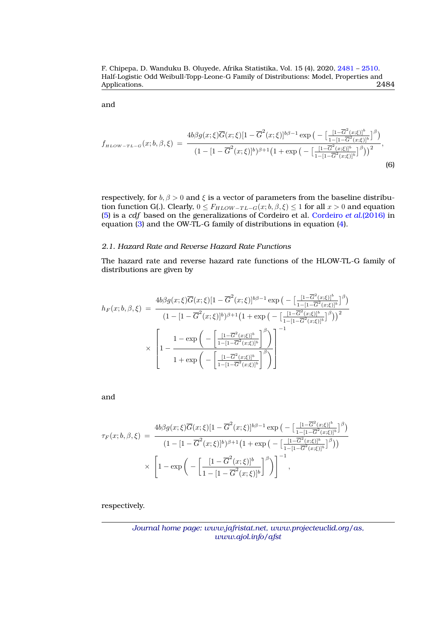and

$$
f_{\mu\text{LOW}-TL-G}(x;b,\beta,\xi) = \frac{4b\beta g(x;\xi)\overline{G}(x;\xi)[1-\overline{G}^2(x;\xi)]^{b\beta-1}\exp\left(-\left[\frac{[1-\overline{G}^2(x;\xi)]^b}{1-[1-\overline{G}^2(x;\xi)]^b}\right]^{\beta}\right)}{(1-[1-\overline{G}^2(x;\xi)]^b)^{\beta+1}\left(1+\exp\left(-\left[\frac{[1-\overline{G}^2(x;\xi)]^b}{1-[1-\overline{G}^2(x;\xi)]^b}\right]^{\beta}\right)\right)^2},\tag{6}
$$

respectively, for  $b, \beta > 0$  and  $\xi$  is a vector of parameters from the baseline distribution function G(.). Clearly,  $0 \leq F_{HLOW-TL-G}(x;b,\beta,\xi) \leq 1$  for all  $x > 0$  and equation [\(5\)](#page-2-2) is a *cdf* based on the generalizations of Cordeiro et al. [Cordeiro](#page-28-4) *et al.*(2016) in equation [\(3\)](#page-2-0) and the OW-TL-G family of distributions in equation [\(4\)](#page-2-1).

# *2.1. Hazard Rate and Reverse Hazard Rate Functions*

The hazard rate and reverse hazard rate functions of the HLOW-TL-G family of distributions are given by

$$
h_F(x; b, \beta, \xi) = \frac{4b\beta g(x; \xi)\overline{G}(x; \xi)[1 - \overline{G}^2(x; \xi)]^{b\beta - 1} \exp\left(-\left[\frac{[1 - \overline{G}^2(x; \xi)]^b}{1 - [1 - \overline{G}^2(x; \xi)]^b}\right]^{\beta}\right)}{(1 - [1 - \overline{G}^2(x; \xi)]^b)^{\beta + 1}(1 + \exp\left(-\left[\frac{[1 - \overline{G}^2(x; \xi)]^b}{1 - [1 - \overline{G}^2(x; \xi)]^b}\right]^{\beta}\right))^2}
$$

$$
\times \left[1 - \frac{1 - \exp\left(-\left[\frac{[1 - \overline{G}^2(x; \xi)]^b}{1 - [1 - \overline{G}^2(x; \xi)]^b}\right]^{\beta}\right)}{1 + \exp\left(-\left[\frac{[1 - \overline{G}^2(x; \xi)]^b}{1 - [1 - \overline{G}^2(x; \xi)]^b}\right]^{\beta}\right)}\right]^{-1}
$$

and

$$
\tau_F(x;b,\beta,\xi) = \frac{4b\beta g(x;\xi)\overline{G}(x;\xi)[1-\overline{G}^2(x;\xi)]^{b\beta-1} \exp\left(-\left[\frac{[1-\overline{G}^2(x;\xi)]^b}{1-[1-\overline{G}^2(x;\xi)]^b}\right]^{\beta}\right)}{(1-[1-\overline{G}^2(x;\xi)]^b)^{\beta+1}(1+\exp\left(-\left[\frac{[1-\overline{G}^2(x;\xi)]^b}{1-[1-\overline{G}^2(x;\xi)]^b}\right]^{\beta}\right)}
$$

$$
\times \left[1-\exp\left(-\left[\frac{[1-\overline{G}^2(x;\xi)]^b}{1-[1-\overline{G}^2(x;\xi)]^b}\right]^{\beta}\right)\right]^{-1},
$$

respectively.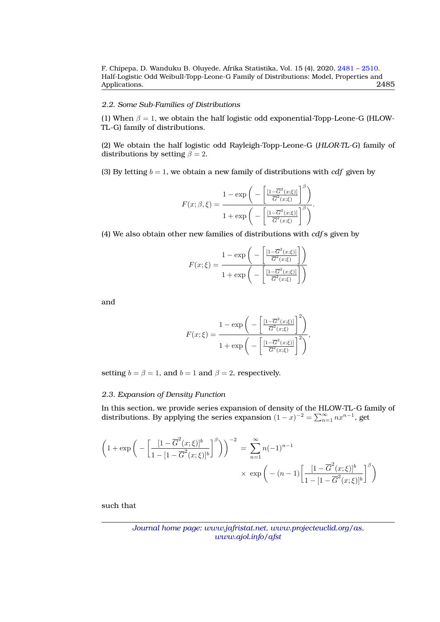# *2.2. Some Sub-Families of Distributions*

(1) When  $\beta = 1$ , we obtain the half logistic odd exponential-Topp-Leone-G (HLOW-TL-G) family of distributions.

(2) We obtain the half logistic odd Rayleigh-Topp-Leone-G (*HLOR-TL-G*) family of distributions by setting  $\beta = 2$ .

(3) By letting  $b = 1$ , we obtain a new family of distributions with *cdf* given by

$$
F(x; \beta, \xi) = \frac{1 - \exp\bigg(-\bigg[\frac{[1 - \overline{G}^2(x; \xi)]}{\overline{G}^2(x; \xi)}\bigg]^\beta\bigg)}{1 + \exp\bigg(-\bigg[\frac{[1 - \overline{G}^2(x; \xi)]}{\overline{G}^2(x; \xi)}\bigg]^\beta\bigg)}.
$$

(4) We also obtain other new families of distributions with *cdf* s given by

$$
F(x; \xi) = \frac{1 - \exp\left(-\left[\frac{[1 - \overline{G}^2(x; \xi)]}{\overline{G}^2(x; \xi)}\right]\right)}{1 + \exp\left(-\left[\frac{[1 - \overline{G}^2(x; \xi)]}{\overline{G}^2(x; \xi)}\right]\right)}
$$

and

$$
F(x;\xi) = \frac{1 - \exp\bigg(-\bigg[\frac{[1 - \overline{G}^2(x;\xi)]}{\overline{G}^2(x;\xi)}\bigg]^2\bigg)}{1 + \exp\bigg(-\bigg[\frac{[1 - \overline{G}^2(x;\xi)]}{\overline{G}^2(x;\xi)}\bigg]^2\bigg)},
$$

setting  $b = \beta = 1$ , and  $b = 1$  and  $\beta = 2$ , respectively.

#### *2.3. Expansion of Density Function*

In this section, we provide series expansion of density of the HLOW-TL-G family of distributions. By applying the series expansion  $(1-x)^{-2} = \sum_{n=1}^{\infty} nx^{n-1}$ , get

$$
\left(1 + \exp\left(-\left[\frac{[1-\overline{G}^{2}(x;\xi)]^{b}}{1-[1-\overline{G}^{2}(x;\xi)]^{b}}\right]^{ \beta}\right)\right)^{-2} = \sum_{n=1}^{\infty} n(-1)^{n-1} \times \exp\left(-\left(n-1\right)\left[\frac{[1-\overline{G}^{2}(x;\xi)]^{b}}{1-[1-\overline{G}^{2}(x;\xi)]^{b}}\right]^{ \beta}\right)
$$

such that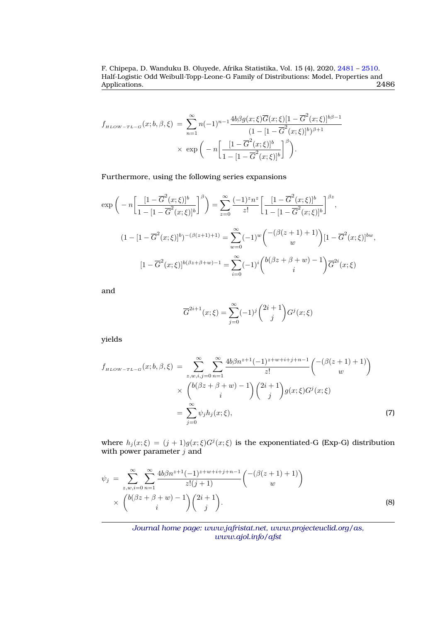$$
f_{\mu_{LOW-TL-G}}(x;b,\beta,\xi) = \sum_{n=1}^{\infty} n(-1)^{n-1} \frac{4b\beta g(x;\xi)\overline{G}(x;\xi)[1-\overline{G}^{2}(x;\xi)]^{b\beta-1}}{(1-[1-\overline{G}^{2}(x;\xi)]^{b})^{\beta+1}} \times \exp\left(-n\left[\frac{[1-\overline{G}^{2}(x;\xi)]^{b}}{1-[1-\overline{G}^{2}(x;\xi)]^{b}}\right]^{\beta}\right).
$$

Furthermore, using the following series expansions

$$
\exp\left(-n\left[\frac{[1-\overline{G}^{2}(x;\xi)]^{b}}{1-[1-\overline{G}^{2}(x;\xi)]^{b}}\right]^{\beta}\right) = \sum_{z=0}^{\infty} \frac{(-1)^{z}n^{z}}{z!} \left[\frac{[1-\overline{G}^{2}(x;\xi)]^{b}}{1-[1-\overline{G}^{2}(x;\xi)]^{b}}\right]^{\beta z},
$$
  

$$
(1-[1-\overline{G}^{2}(x;\xi)]^{b})^{-(\beta(z+1)+1)} = \sum_{w=0}^{\infty} (-1)^{w} \binom{-(\beta(z+1)+1)}{w} [1-\overline{G}^{2}(x;\xi)]^{bw},
$$

$$
[1-\overline{G}^{2}(x;\xi)]^{b(\beta z+\beta+w)-1} = \sum_{i=0}^{\infty} (-1)^{i} \binom{b(\beta z+\beta+w)-1}{i} \overline{G}^{2i}(x;\xi)
$$

and

$$
\overline{G}^{2i+1}(x;\xi) = \sum_{j=0}^{\infty} (-1)^j \binom{2i+1}{j} G^j(x;\xi)
$$

yields

$$
f_{\mu\mu\circ w-r_{L-G}}(x;b,\beta,\xi) = \sum_{z,w,i,j=0}^{\infty} \sum_{n=1}^{\infty} \frac{4b\beta n^{z+1}(-1)^{z+w+i+j+n-1}}{z!} {\binom{-(\beta(z+1)+1)}{w}} \times {\binom{b(\beta z+\beta+w)-1}{i}} {\binom{2i+1}{j}} g(x;\xi) G^j(x;\xi)
$$
  
= 
$$
\sum_{j=0}^{\infty} \psi_j h_j(x;\xi), \tag{7}
$$

where  $h_j(x;\xi) = (j+1)g(x;\xi)G^j(x;\xi)$  is the exponentiated-G (Exp-G) distribution with power parameter  $j$  and

<span id="page-5-0"></span>
$$
\psi_j = \sum_{z,w,i=0}^{\infty} \sum_{n=1}^{\infty} \frac{4b\beta n^{z+1}(-1)^{z+w+i+j+n-1}}{z!(j+1)} \binom{-(\beta(z+1)+1)}{w} \times \binom{b(\beta z+\beta+w)-1}{i} \binom{2i+1}{j}.
$$
\n(8)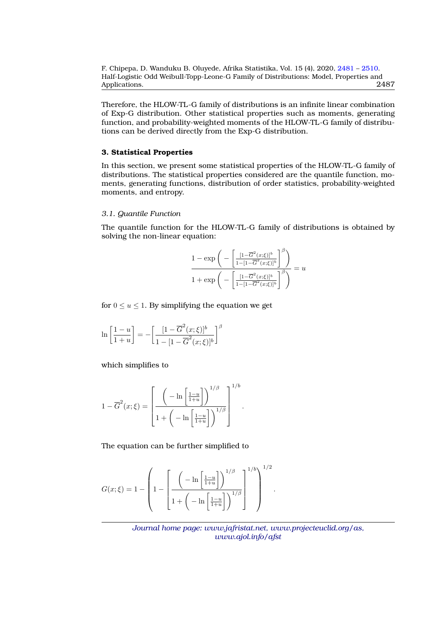Therefore, the HLOW-TL-G family of distributions is an infinite linear combination of Exp-G distribution. Other statistical properties such as moments, generating function, and probability-weighted moments of the HLOW-TL-G family of distributions can be derived directly from the Exp-G distribution.

## **3. Statistical Properties**

In this section, we present some statistical properties of the HLOW-TL-G family of distributions. The statistical properties considered are the quantile function, moments, generating functions, distribution of order statistics, probability-weighted moments, and entropy.

## *3.1. Quantile Function*

The quantile function for the HLOW-TL-G family of distributions is obtained by solving the non-linear equation:

$$
\frac{1 - \exp\bigg(-\bigg[\frac{[1-\overline{G}^{2}(x;\xi)]^{b}}{1-[1-\overline{G}^{2}(x;\xi)]^{b}}\bigg]^{\beta}\bigg)}{1 + \exp\bigg(-\bigg[\frac{[1-\overline{G}^{2}(x;\xi)]^{b}}{1-[1-\overline{G}^{2}(x;\xi)]^{b}}\bigg]^{\beta}\bigg)} = u
$$

for  $0 \le u \le 1$ . By simplifying the equation we get

$$
\ln\left[\frac{1-u}{1+u}\right] = -\left[\frac{[1-\overline{G}^2(x;\xi)]^b}{1-[1-\overline{G}^2(x;\xi)]^b}\right]^\beta
$$

which simplifies to

$$
1 - \overline{G}^{2}(x;\xi) = \left[ \frac{\left( -\ln \left[ \frac{1-u}{1+u} \right] \right)^{1/\beta}}{1 + \left( -\ln \left[ \frac{1-u}{1+u} \right] \right)^{1/\beta}} \right]^{1/b}.
$$

The equation can be further simplified to

$$
G(x;\xi) = 1 - \left(1 - \left[\frac{\left(-\ln\left[\frac{1-u}{1+u}\right]\right)^{1/\beta}}{1 + \left(-\ln\left[\frac{1-u}{1+u}\right]\right)^{1/\beta}}\right]^{1/2}\right)^{1/2}.
$$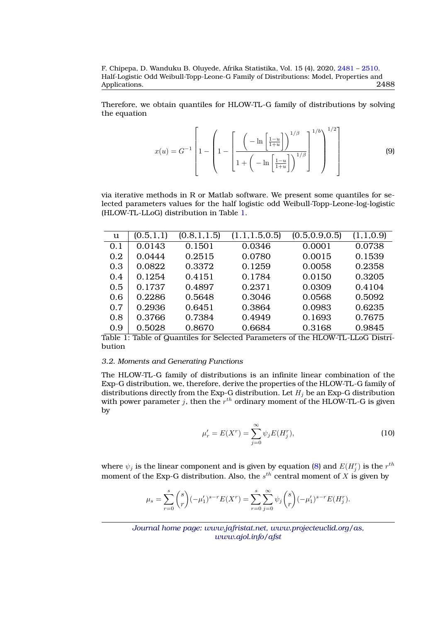Therefore, we obtain quantiles for HLOW-TL-G family of distributions by solving the equation

$$
x(u) = G^{-1} \left[ 1 - \left( 1 - \left[ \frac{\left( -\ln \left[ \frac{1-u}{1+u} \right] \right)^{1/\beta}}{1 + \left( -\ln \left[ \frac{1-u}{1+u} \right] \right)^{1/\beta}} \right]^{1/b} \right]^{1/2} \right]
$$
(9)

via iterative methods in R or Matlab software. We present some quantiles for selected parameters values for the half logistic odd Weibull-Topp-Leone-log-logistic (HLOW-TL-LLoG) distribution in Table [1.](#page-7-0)

<span id="page-7-0"></span>

| $\mathbf u$ | (0.5, 1, 1) | (0.8, 1, 1.5) | (1.1, 1.5, 0.5) | (0.5, 0.9, 0.5) | (1,1,0.9) |
|-------------|-------------|---------------|-----------------|-----------------|-----------|
| 0.1         | 0.0143      | 0.1501        | 0.0346          | 0.0001          | 0.0738    |
| 0.2         | 0.0444      | 0.2515        | 0.0780          | 0.0015          | 0.1539    |
| 0.3         | 0.0822      | 0.3372        | 0.1259          | 0.0058          | 0.2358    |
| 0.4         | 0.1254      | 0.4151        | 0.1784          | 0.0150          | 0.3205    |
| 0.5         | 0.1737      | 0.4897        | 0.2371          | 0.0309          | 0.4104    |
| 0.6         | 0.2286      | 0.5648        | 0.3046          | 0.0568          | 0.5092    |
| 0.7         | 0.2936      | 0.6451        | 0.3864          | 0.0983          | 0.6235    |
| 0.8         | 0.3766      | 0.7384        | 0.4949          | 0.1693          | 0.7675    |
| 0.9         | 0.5028      | 0.8670        | 0.6684          | 0.3168          | 0.9845    |

Table 1: Table of Quantiles for Selected Parameters of the HLOW-TL-LLoG Distribution

#### *3.2. Moments and Generating Functions*

The HLOW-TL-G family of distributions is an infinite linear combination of the Exp-G distribution, we, therefore, derive the properties of the HLOW-TL-G family of distributions directly from the Exp-G distribution. Let  $H_i$  be an Exp-G distribution with power parameter  $j$ , then the  $r^{th}$  ordinary moment of the HLOW-TL-G is given by

$$
\mu'_{r} = E(X^{r}) = \sum_{j=0}^{\infty} \psi_{j} E(H_{j}^{r}),
$$
\n(10)

where  $\psi_j$  is the linear component and is given by equation [\(8\)](#page-5-0) and  $E(H_j^r)$  is the  $r^{th}$ moment of the Exp-G distribution. Also, the  $s^{th}$  central moment of  $X$  is given by

$$
\mu_s = \sum_{r=0}^s {s \choose r} (-\mu'_1)^{s-r} E(X^r) = \sum_{r=0}^s \sum_{j=0}^\infty \psi_j {s \choose r} (-\mu'_1)^{s-r} E(H_j^r).
$$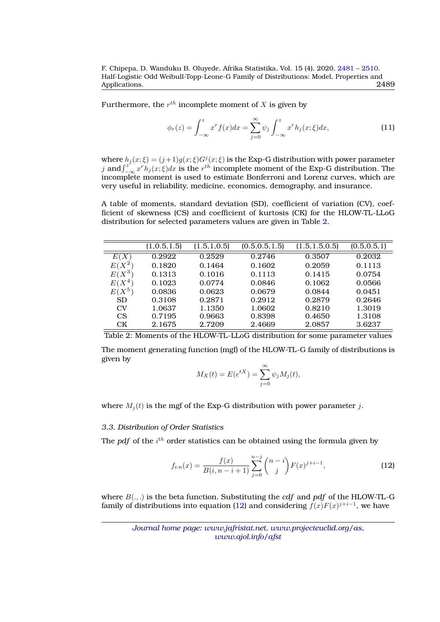Furthermore, the  $r^{th}$  incomplete moment of  $X$  is given by

$$
\phi_r(z) = \int_{-\infty}^z x^r f(x) dx = \sum_{j=0}^\infty \psi_j \int_{-\infty}^z x^r h_j(x; \xi) dx,
$$
\n(11)

where  $h_j(x;\xi) = (j+1)g(x;\xi)G^j(x;\xi)$  is the Exp-G distribution with power parameter j and  $\int_{-\infty}^{z'} x^r h_j(x;\xi) dx$  is the r<sup>th</sup> incomplete moment of the Exp-G distribution. The incomplete moment is used to estimate Bonferroni and Lorenz curves, which are very useful in reliability, medicine, economics, demography, and insurance.

A table of moments, standard deviation (SD), coefficient of variation (CV), coefficient of skewness (CS) and coefficient of kurtosis (CK) for the HLOW-TL-LLoG distribution for selected parameters values are given in Table [2.](#page-8-0)

<span id="page-8-0"></span>

|                        | (1, 0.5, 1.5) | (1.5, 1.0.5) | (0.5, 0.5, 1.5) | (1.5, 1.5, 0.5) | (0.5, 0.5, 1) |
|------------------------|---------------|--------------|-----------------|-----------------|---------------|
| X<br>E(                | 0.2922        | 0.2529       | 0.2746          | 0.3507          | 0.2032        |
| $X^2$<br>E (           | 0.1820        | 0.1464       | 0.1602          | 0.2059          | 0.1113        |
| $E(X^3)$               | 0.1313        | 0.1016       | 0.1113          | 0.1415          | 0.0754        |
| $4\phantom{.0}$<br>E(X | 0.1023        | 0.0774       | 0.0846          | 0.1062          | 0.0566        |
| $E(X^5)$               | 0.0836        | 0.0623       | 0.0679          | 0.0844          | 0.0451        |
| <b>SD</b>              | 0.3108        | 0.2871       | 0.2912          | 0.2879          | 0.2646        |
| CV                     | 1.0637        | 1.1350       | 1.0602          | 0.8210          | 1.3019        |
| <b>CS</b>              | 0.7195        | 0.9663       | 0.8398          | 0.4650          | 1.3108        |
| СK                     | 2.1675        | 2.7209       | 2.4669          | 2.0857          | 3.6237        |

Table 2: Moments of the HLOW-TL-LLoG distribution for some parameter values

The moment generating function (mgf) of the HLOW-TL-G family of distributions is given by

$$
M_X(t) = E(e^{tX}) = \sum_{j=0}^{\infty} \psi_j M_j(t),
$$

where  $M_i(t)$  is the mgf of the Exp-G distribution with power parameter j.

#### *3.3. Distribution of Order Statistics*

The  $pdf$  of the  $i^{th}$  order statistics can be obtained using the formula given by

<span id="page-8-1"></span>
$$
f_{i:n}(x) = \frac{f(x)}{B(i, n-i+1)} \sum_{j=0}^{n-j} {n-i \choose j} F(x)^{j+i-1},
$$
\n(12)

where B(., .) is the beta function. Substituting the *cdf* and *pdf* of the HLOW-TL-G family of distributions into equation [\(12\)](#page-8-1) and considering  $f(x)F(x)^{j+i-1}$ , we have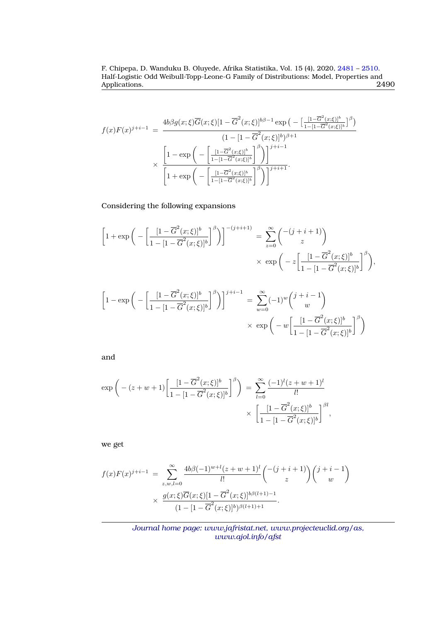$$
f(x)F(x)^{j+i-1} = \frac{4b\beta g(x;\xi)\overline{G}(x;\xi)[1-\overline{G}^{2}(x;\xi)]^{b\beta-1} \exp\left(-\left[\frac{[1-\overline{G}^{2}(x;\xi)]^{b}}{1-[1-\overline{G}^{2}(x;\xi)]^{b}}\right]^{\beta}\right)}{(1-[1-\overline{G}^{2}(x;\xi)]^{b})^{\beta+1}}
$$

$$
\times \frac{\left[1-\exp\left(-\left[\frac{[1-\overline{G}^{2}(x;\xi)]^{b}}{1-[1-\overline{G}^{2}(x;\xi)]^{b}}\right]^{\beta}\right)\right]^{j+i-1}}{\left[1+\exp\left(-\left[\frac{[1-\overline{G}^{2}(x;\xi)]^{b}}{1-[1-\overline{G}^{2}(x;\xi)]^{b}}\right]^{\beta}\right)\right]^{j+i+1}}.
$$

Considering the following expansions

$$
\left[1+\exp\bigg(-\left[\frac{[1-\overline{G}^{2}(x;\xi)]^{b}}{1-[1-\overline{G}^{2}(x;\xi)]^{b}}\right]^{\beta}\bigg)\right]^{-(j+i+1)} = \sum_{z=0}^{\infty} {\binom{-(j+i+1)}{z}} \times \exp\bigg(-z\left[\frac{[1-\overline{G}^{2}(x;\xi)]^{b}}{1-[1-\overline{G}^{2}(x;\xi)]^{b}}\right]^{\beta}\bigg),
$$

$$
\left[1 - \exp\bigg(-\left[\frac{[1-\overline{G}^{2}(x;\xi)]^{b}}{1-[1-\overline{G}^{2}(x;\xi)]^{b}}\right]^{\beta}\bigg)\right]^{j+i-1} = \sum_{w=0}^{\infty}(-1)^{w}\binom{j+i-1}{w} \times \exp\bigg(-w\left[\frac{[1-\overline{G}^{2}(x;\xi)]^{b}}{1-[1-\overline{G}^{2}(x;\xi)]^{b}}\right]^{\beta}\bigg)
$$

and

$$
\exp\left(-\left(z+w+1\right)\left[\frac{[1-\overline{G}^{2}(x;\xi)]^{b}}{1-[1-\overline{G}^{2}(x;\xi)]^{b}}\right]^{\beta}\right) = \sum_{l=0}^{\infty} \frac{(-1)^{l}(z+w+1)^{l}}{l!} \times \left[\frac{[1-\overline{G}^{2}(x;\xi)]^{b}}{1-[1-\overline{G}^{2}(x;\xi)]^{b}}\right]^{\beta l},
$$

we get

$$
f(x)F(x)^{j+i-1} = \sum_{z,w,l=0}^{\infty} \frac{4b\beta(-1)^{w+l}(z+w+1)^{l}}{l!} \binom{-(j+i+1)}{z} \binom{j+i-1}{w}
$$

$$
\times \frac{g(x;\xi)\overline{G}(x;\xi)[1-\overline{G}^{2}(x;\xi)]^{b\beta(l+1)-1}}{(1-[1-\overline{G}^{2}(x;\xi)]^{b})^{\beta(l+1)+1}}.
$$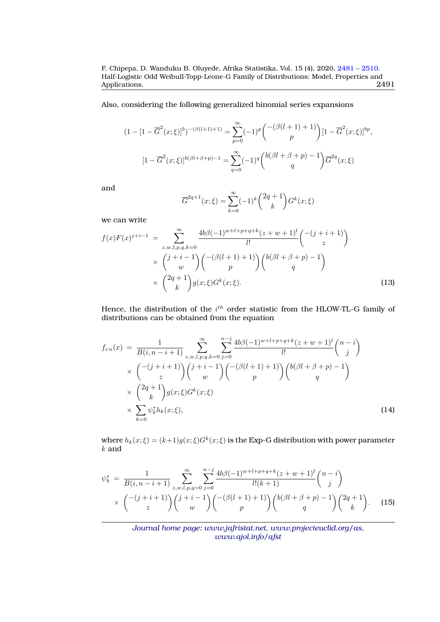Also, considering the following generalized binomial series expansions

$$
(1 - [1 - \overline{G}^{2}(x; \xi)]^{b})^{-(\beta(l+1)+1)} = \sum_{p=0}^{\infty} (-1)^{p} {-(\beta(l+1)+1) \choose p} [1 - \overline{G}^{2}(x; \xi)]^{bp},
$$

$$
[1 - \overline{G}^{2}(x; \xi)]^{b(\beta l + \beta + p) - 1} = \sum_{q=0}^{\infty} (-1)^{q} {b(\beta l + \beta + p) - 1 \choose q} \overline{G}^{2q}(x; \xi)
$$

and

$$
\overline{G}^{2q+1}(x;\xi) = \sum_{k=0}^{\infty} (-1)^k {2q+1 \choose k} G^k(x;\xi)
$$

we can write

<span id="page-10-0"></span>
$$
f(x)F(x)^{j+i-1} = \sum_{z,w,l,p,q,k=0}^{\infty} \frac{4b\beta(-1)^{w+l+p+q+k}(z+w+1)^{l}}{l!} \binom{-(j+i+1)}{z} \times \binom{j+i-1}{w} \binom{-(\beta(l+1)+1)}{p} \binom{b(\beta l+\beta+p)-1}{q} \times \binom{2q+1}{k} g(x;\xi)G^{k}(x;\xi).
$$
\n(13)

Hence, the distribution of the  $i^{th}$  order statistic from the HLOW-TL-G family of distributions can be obtained from the equation

$$
f_{i:n}(x) = \frac{1}{B(i, n-i+1)} \sum_{z, w, l, p, q, k=0}^{\infty} \sum_{j=0}^{n-j} \frac{4b\beta(-1)^{w+l+p+q+k}(z+w+1)^l}{l!} \binom{n-i}{j} \times \left( \frac{-(j+i+1)}{z} \right) \binom{j+i-1}{w} \binom{-(\beta(l+1)+1)}{p} \binom{b(\beta l+\beta+p)-1}{q} \times \left( \frac{2q+1}{k} \right) g(x; \xi) G^k(x; \xi) \times \sum_{k=0}^{\infty} \psi_k^* h_k(x; \xi), \tag{14}
$$

where  $h_k(x;\xi)=(k+1)g(x;\xi)G^k(x;\xi)$  is the Exp-G distribution with power parameter  $k$  and

$$
\psi_k^* = \frac{1}{B(i, n-i+1)} \sum_{z,w,l,p,q=0}^{\infty} \sum_{j=0}^{n-j} \frac{4b\beta(-1)^{w+l+p+q+k}(z+w+1)^l}{l!(k+1)} \binom{n-i}{j} \times \binom{-(j+i+1)}{z} \binom{j+i-1}{w} \binom{-(\beta(l+1)+1)}{p} \binom{b(\beta l+\beta+p)-1}{q} \binom{2q+1}{k}.
$$
 (15)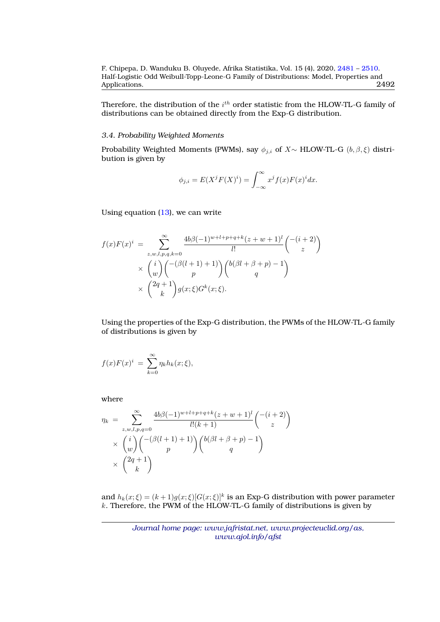Therefore, the distribution of the  $i^{th}$  order statistic from the HLOW-TL-G family of distributions can be obtained directly from the Exp-G distribution.

# *3.4. Probability Weighted Moments*

Probability Weighted Moments (PWMs), say  $\phi_{j,i}$  of X~ HLOW-TL-G  $(b, \beta, \xi)$  distribution is given by

$$
\phi_{j,i} = E(X^j F(X)^i) = \int_{-\infty}^{\infty} x^j f(x) F(x)^i dx.
$$

Using equation [\(13\)](#page-10-0), we can write

$$
f(x)F(x)^{i} = \sum_{z,w,l,p,q,k=0}^{\infty} \frac{4b\beta(-1)^{w+l+p+q+k}(z+w+1)^{l}}{l!} \binom{-(i+2)}{z}
$$

$$
\times \binom{i}{w} \binom{-(\beta(l+1)+1)}{p} \binom{b(\beta l+\beta+p)-1}{q}
$$

$$
\times \binom{2q+1}{k} g(x;\xi)G^{k}(x;\xi).
$$

Using the properties of the Exp-G distribution, the PWMs of the HLOW-TL-G family of distributions is given by

$$
f(x)F(x)^{i} = \sum_{k=0}^{\infty} \eta_k h_k(x;\xi),
$$

where

$$
\eta_k = \sum_{z,w,l,p,q=0}^{\infty} \frac{4b\beta(-1)^{w+l+p+q+k}(z+w+1)^l}{l!(k+1)} \binom{-(i+2)}{z}
$$

$$
\times \binom{i}{w} \binom{-(\beta(l+1)+1)}{p} \binom{b(\beta l+\beta+p)-1}{q}
$$

$$
\times \binom{2q+1}{k}
$$

and  $h_k(x;\xi) = (k+1)g(x;\xi)[G(x;\xi)]^k$  is an Exp-G distribution with power parameter k. Therefore, the PWM of the HLOW-TL-G family of distributions is given by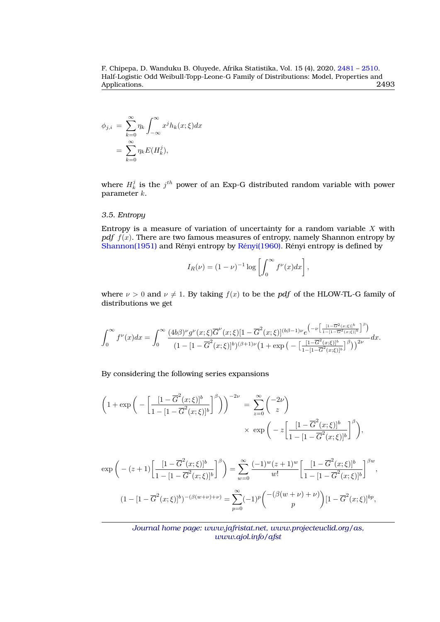$$
\phi_{j,i} = \sum_{k=0}^{\infty} \eta_k \int_{-\infty}^{\infty} x^j h_k(x;\xi) dx
$$

$$
= \sum_{k=0}^{\infty} \eta_k E(H_k^j),
$$

where  $H_k^j$  is the  $j^{th}$  power of an Exp-G distributed random variable with power parameter k.

## *3.5. Entropy*

Entropy is a measure of variation of uncertainty for a random variable  $X$  with *pdf*  $f(x)$ . There are two famous measures of entropy, namely Shannon entropy by [Shannon\(1951\)](#page-29-0) and Rényi entropy by  $Rényi(1960)$ . Rényi entropy is defined by

$$
I_R(\nu) = (1 - \nu)^{-1} \log \left[ \int_0^\infty f^\nu(x) dx \right],
$$

where  $\nu > 0$  and  $\nu \neq 1$ . By taking  $f(x)$  to be the *pdf* of the HLOW-TL-G family of distributions we get

$$
\int_0^\infty f^{\nu}(x)dx = \int_0^\infty \frac{(4b\beta)^{\nu}g^{\nu}(x;\xi)\overline{G}^{\nu}(x;\xi)[1-\overline{G}^2(x;\xi)]^{(b\beta-1)\nu}e^{\left(-\nu\left[\frac{[1-\overline{G}^2(x;\xi)]^b}{1-[1-\overline{G}^2(x;\xi)]^b}\right]^{\beta}\right)}}{(1-[1-\overline{G}^2(x;\xi)]^b)^{(\beta+1)\nu}\left(1+\exp\left(-\left[\frac{[1-\overline{G}^2(x;\xi)]^b}{1-[1-\overline{G}^2(x;\xi)]^b}\right]^{\beta}\right)\right)^{2\nu}}dx.
$$

By considering the following series expansions

$$
\left(1+\exp\bigg(-\bigg[\frac{[1-\overline{G}^2(x;\xi)]^b}{1-[1-\overline{G}^2(x;\xi)]^b}\bigg]^\beta\bigg)\right)^{-2\nu} = \sum_{z=0}^\infty \binom{-2\nu}{z} \times \exp\bigg(-z\bigg[\frac{[1-\overline{G}^2(x;\xi)]^b}{1-[1-\overline{G}^2(x;\xi)]^b}\bigg]^\beta\bigg),
$$

$$
\exp\left(-{(z+1)}\left[\frac{[1-\overline{G}^{2}(x;\xi)]^{b}}{1-[1-\overline{G}^{2}(x;\xi)]^{b}}\right]^{\beta}\right) = \sum_{w=0}^{\infty} \frac{(-1)^{w}(z+1)^{w}}{w!} \left[\frac{[1-\overline{G}^{2}(x;\xi)]^{b}}{1-[1-\overline{G}^{2}(x;\xi)]^{b}}\right]^{\beta w},
$$
  

$$
(1-[1-\overline{G}^{2}(x;\xi)]^{b})^{-(\beta(w+\nu)+\nu)} = \sum_{p=0}^{\infty} (-1)^{p} \binom{-(\beta(w+\nu)+\nu)}{p} [1-\overline{G}^{2}(x;\xi)]^{bp},
$$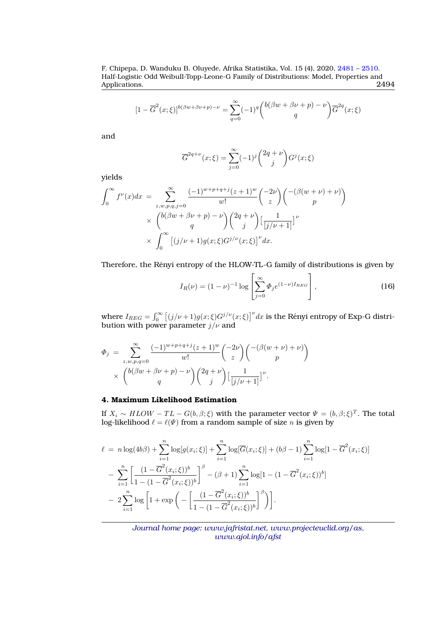$$
[1 - \overline{G}^2(x;\xi)]^{b(\beta w + \beta v + p) - \nu} = \sum_{q=0}^{\infty} (-1)^q {b(\beta w + \beta \nu + p) - \nu \choose q} \overline{G}^{2q}(x;\xi)
$$

and

$$
\overline{G}^{2q+\nu}(x;\xi) = \sum_{j=0}^{\infty} (-1)^j {2q+\nu \choose j} G^j(x;\xi)
$$

yields

$$
\int_0^\infty f^\nu(x)dx = \sum_{z,w,p,q,j=0}^\infty \frac{(-1)^{w+p+q+j}(z+1)^w}{w!} {\binom{-2\nu}{z}} {\binom{-(\beta(w+\nu)+\nu)}{p}}
$$

$$
\times {\binom{b(\beta w+\beta \nu+p)-\nu}{q}} {\binom{2q+\nu}{j}} {\lbrack \frac{1}{[j/\nu+1]} \rbrack}^\nu
$$

$$
\times \int_0^\infty \left[ (j/\nu+1)g(x;\xi)G^{j/\nu}(x;\xi) \right]^\nu dx.
$$

Therefore, the Rényi entropy of the HLOW-TL-G family of distributions is given by

$$
I_R(\nu) = (1 - \nu)^{-1} \log \left[ \sum_{j=0}^{\infty} \Phi_j e^{(1 - \nu) I_{REG}} \right],
$$
 (16)

where  $I_{REG} = \int_0^\infty \left[ (j/\nu + 1) g(x;\xi) G^{j/\nu}(x;\xi) \right]^\nu dx$  is the Rényi entropy of Exp-G distribution with power parameter  $j/\nu$  and

$$
\Phi_j = \sum_{z,w,p,q=0}^{\infty} \frac{(-1)^{w+p+q+j}(z+1)^w}{w!} {\binom{-2\nu}{z}} {\binom{-(\beta(w+\nu)+\nu)}{p}} \times {\binom{b(\beta w+\beta \nu+p)-\nu}{q}} {\binom{2q+\nu}{j}} {\lfloor \frac{1}{[j/\nu+1]} \rfloor^{\nu}}.
$$

# **4. Maximum Likelihood Estimation**

If  $X_i \sim HLOW - TL - G(b, \beta; \xi)$  with the parameter vector  $\Psi = (b, \beta; \xi)^T$ . The total log-likelihood  $\ell = \ell(\Psi)$  from a random sample of size n is given by

$$
\ell = n \log(4b\beta) + \sum_{i=1}^{n} \log[g(x_i;\xi)] + \sum_{i=1}^{n} \log[\overline{G}(x_i;\xi)] + (b\beta - 1) \sum_{i=1}^{n} \log[1 - \overline{G}^2(x_i;\xi)]
$$
  
- 
$$
\sum_{i=1}^{n} \left[ \frac{(1 - \overline{G}^2(x_i;\xi))^b}{1 - (1 - \overline{G}^2(x_i;\xi))^b} \right]^\beta - (\beta + 1) \sum_{i=1}^{n} \log[1 - (1 - \overline{G}^2(x_i;\xi))^b]
$$
  
- 
$$
2 \sum_{i=1}^{n} \log \left[ 1 + \exp\left( - \left[ \frac{(1 - \overline{G}^2(x_i;\xi))^b}{1 - (1 - \overline{G}^2(x_i;\xi))^b} \right]^{\beta} \right) \right].
$$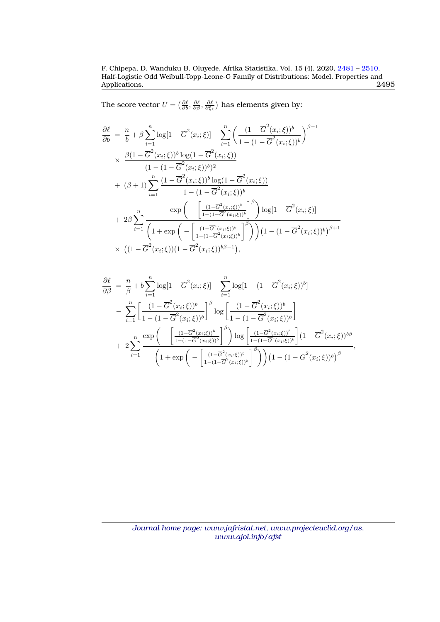The score vector  $U = \left( \frac{\partial \ell}{\partial b}, \frac{\partial \ell}{\partial \beta}, \frac{\partial \ell}{\partial \xi_k} \right)$  has elements given by:

$$
\frac{\partial \ell}{\partial b} = \frac{n}{b} + \beta \sum_{i=1}^{n} \log[1 - \overline{G}^{2}(x_{i}; \xi)] - \sum_{i=1}^{n} \left(\frac{(1 - \overline{G}^{2}(x_{i}; \xi))^{b}}{1 - (1 - \overline{G}^{2}(x_{i}; \xi))^{b}}\right)^{\beta - 1}
$$
\n
$$
\times \frac{\beta(1 - \overline{G}^{2}(x_{i}; \xi))^{b} \log(1 - \overline{G}^{2}(x_{i}; \xi))}{(1 - (1 - \overline{G}^{2}(x_{i}; \xi))^{b})^{2}}
$$
\n
$$
+ (\beta + 1) \sum_{i=1}^{n} \frac{(1 - \overline{G}^{2}(x_{i}; \xi))^{b} \log(1 - \overline{G}^{2}(x_{i}; \xi))}{1 - (1 - \overline{G}^{2}(x_{i}; \xi))^{b}}
$$
\n
$$
+ 2\beta \sum_{i=1}^{n} \frac{\exp\left(-\left[\frac{(1 - \overline{G}^{2}(x_{i}; \xi))^{b}}{1 - (1 - \overline{G}^{2}(x_{i}; \xi))^{b}}\right]^{ \beta}\right) \log[1 - \overline{G}^{2}(x_{i}; \xi)]}{\left(1 + \exp\left(-\left[\frac{(1 - \overline{G}^{2}(x_{i}; \xi))^{b}}{1 - (1 - \overline{G}^{2}(x_{i}; \xi))^{b}}\right]^{ \beta}\right)\right) (1 - (1 - \overline{G}^{2}(x_{i}; \xi))^{b})^{\beta + 1}}
$$
\n
$$
\times \left((1 - \overline{G}^{2}(x_{i}; \xi))(1 - \overline{G}^{2}(x_{i}; \xi))^{b\beta - 1}\right),
$$

$$
\frac{\partial \ell}{\partial \beta} = \frac{n}{\beta} + b \sum_{i=1}^{n} \log[1 - \overline{G}^{2}(x_{i}; \xi)] - \sum_{i=1}^{n} \log[1 - (1 - \overline{G}^{2}(x_{i}; \xi))^{b}] \n- \sum_{i=1}^{n} \left[ \frac{(1 - \overline{G}^{2}(x_{i}; \xi))^{b}}{1 - (1 - \overline{G}^{2}(x_{i}; \xi))^{b}} \right]^{ \beta} \log \left[ \frac{(1 - \overline{G}^{2}(x_{i}; \xi))^{b}}{1 - (1 - \overline{G}^{2}(x_{i}; \xi))^{b}} \right] \n+ 2 \sum_{i=1}^{n} \frac{\exp \left( - \left[ \frac{(1 - \overline{G}^{2}(x_{i}; \xi))^{b}}{1 - (1 - \overline{G}^{2}(x_{i}; \xi))^{b}} \right]^{ \beta} \right) \log \left[ \frac{(1 - \overline{G}^{2}(x_{i}; \xi))^{b}}{1 - (1 - \overline{G}^{2}(x_{i}; \xi))^{b}} \right] (1 - \overline{G}^{2}(x_{i}; \xi))^{b \beta} \n+ 2 \sum_{i=1}^{n} \frac{\exp \left( - \left[ \frac{(1 - \overline{G}^{2}(x_{i}; \xi))^{b}}{1 - (1 - \overline{G}^{2}(x_{i}; \xi))^{b}} \right]^{ \beta} \right) (1 - (1 - \overline{G}^{2}(x_{i}; \xi))^{b})^{ \beta} \n+ \sum_{i=1}^{n} \frac{\exp \left( - \left[ \frac{(1 - \overline{G}^{2}(x_{i}; \xi))^{b}}{1 - (1 - \overline{G}^{2}(x_{i}; \xi))^{b}} \right]^{ \beta} \right) (1 - (1 - \overline{G}^{2}(x_{i}; \xi))^{b})^{ \beta} \n+ \sum_{i=1}^{n} \frac{\exp \left( - \left[ \frac{(1 - \overline{G}^{2}(x_{i}; \xi))^{b}}{1 - (1 - \overline{G}^{2}(x_{i}; \xi))^{b}} \right]^{ \beta} \right) (1 - (1 - \overline{G}^{2}(x_{i}; \xi))^{b})^{ \beta} \n+ \sum_{i=1}^{n} \frac{\exp \left( - \left[
$$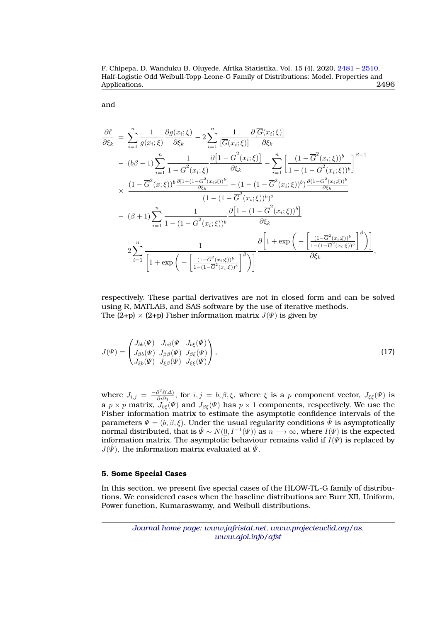F. Chipepa, D. Wanduku B. Oluyede, Afrika Statistika, Vol. 15 (4), 2020, [2481](#page-0-0) – [2510.](#page-27-0) Half-Logistic Odd Weibull-Topp-Leone-G Family of Distributions: Model, Properties and Applications.

and

$$
\frac{\partial \ell}{\partial \xi_k} = \sum_{i=1}^n \frac{1}{g(x_i;\xi)} \frac{\partial g(x_i;\xi)}{\partial \xi_k} - 2 \sum_{i=1}^n \frac{1}{[\overline{G}(x_i;\xi)]} \frac{\partial [\overline{G}(x_i;\xi)]}{\partial \xi_k} \n- (b\beta - 1) \sum_{i=1}^n \frac{1}{1 - \overline{G}^2(x_i;\xi)} \frac{\partial [1 - \overline{G}^2(x_i;\xi)]}{\partial \xi_k} - \sum_{i=1}^n \left[ \frac{(1 - \overline{G}^2(x_i;\xi))^b}{1 - (1 - \overline{G}^2(x_i;\xi))^b} \right]^{\beta - 1} \n\times \frac{(1 - \overline{G}^2(x;\xi))^b \frac{\partial [1 - (1 - \overline{G}^2(x_i;\xi))^b]}{\partial \xi_k} - (1 - (1 - \overline{G}^2(x_i;\xi))^b) \frac{\partial (1 - \overline{G}^2(x_i;\xi))^b}{\partial \xi_k}}{(1 - (1 - \overline{G}^2(x_i;\xi))^b)^2} \n- (\beta + 1) \sum_{i=1}^n \frac{1}{1 - (1 - \overline{G}^2(x_i;\xi))^b} \frac{\partial [1 - (1 - \overline{G}^2(x_i;\xi))^b]}{\partial \xi_k} \n- 2 \sum_{i=1}^n \frac{1}{\left[ 1 + \exp \left( - \left[ \frac{(1 - \overline{G}^2(x_i;\xi))^b}{1 - (1 - \overline{G}^2(x_i;\xi))^b} \right]^{\beta} \right) \right]} \frac{\partial \left[ 1 + \exp \left( - \left[ \frac{(1 - \overline{G}^2(x_i;\xi))^b}{1 - (1 - \overline{G}^2(x_i;\xi))^b} \right]^{\beta} \right) \right]}{\partial \xi_k},
$$

respectively. These partial derivatives are not in closed form and can be solved using R, MATLAB, and SAS software by the use of iterative methods. The  $(2+p) \times (2+p)$  Fisher information matrix  $J(\Psi)$  is given by

$$
J(\Psi) = \begin{pmatrix} J_{bb}(\Psi) & J_{bg}(\Psi & J_{bg}(\Psi) \\ J_{\beta b}(\Psi) & J_{\beta \beta}(\Psi) & J_{\beta \xi}(\Psi) \\ J_{\xi b}(\Psi) & J_{\xi \beta}(\Psi) & J_{\xi \xi}(\Psi) \end{pmatrix},
$$
\n(17)

where  $J_{i,j} = \frac{-\partial^2 \ell(\Delta)}{\partial i \partial j}$ , for  $i, j = b, \beta, \xi$ , where  $\xi$  is a p component vector,  $J_{\xi\xi}(\Psi)$  is a  $p\times p$  matrix,  $J_{b\xi}(\varPsi)$  and  $J_{\beta\xi}(\varPsi)$  has  $p\times 1$  components, respectively. We use the Fisher information matrix to estimate the asymptotic confidence intervals of the parameters  $\Psi = (b, \beta, \xi)$ . Under the usual regularity conditions  $\tilde{\Psi}$  is asymptotically normal distributed, that is  $\hat{\Psi} \sim N(0, I^{-1}(\Psi))$  as  $n \longrightarrow \infty$ , where  $I(\Psi)$  is the expected information matrix. The asymptotic behaviour remains valid if  $I(\Psi)$  is replaced by  $J(\hat{\psi})$ , the information matrix evaluated at  $\hat{\psi}$ .

#### **5. Some Special Cases**

In this section, we present five special cases of the HLOW-TL-G family of distributions. We considered cases when the baseline distributions are Burr XII, Uniform, Power function, Kumaraswamy, and Weibull distributions.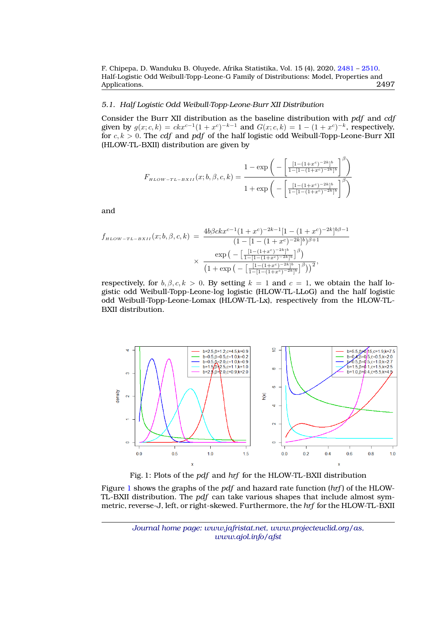# *5.1. Half Logistic Odd Weibull-Topp-Leone-Burr XII Distribution*

Consider the Burr XII distribution as the baseline distribution with *pdf* and *cdf* given by  $g(x; c, k) = c k x^{c-1} (1 + x^c)^{-k-1}$  and  $G(x; c, k) = 1 - (1 + x^c)^{-k}$ , respectively, for  $c, k > 0$ . The *cdf* and *pdf* of the half logistic odd Weibull-Topp-Leone-Burr XII (HLOW-TL-BXII) distribution are given by

$$
F_{\mu\text{LOW}-TL-BXII}(x;b,\beta,c,k) = \frac{1 - \exp\left(-\left[\frac{[1 - (1 + x^c)^{-2k}]^b}{1 - [1 - (1 + x^c)^{-2k}]^b}\right]^{\beta}\right)}{1 + \exp\left(-\left[\frac{[1 - (1 + x^c)^{-2k}]^b}{1 - [1 - (1 + x^c)^{-2k}]^b}\right]^{\beta}\right)}
$$

and

$$
f_{\mu_{LOW-TL-BXII}}(x;b,\beta,c,k) = \frac{4b\beta c k x^{c-1} (1+x^c)^{-2k-1} [1-(1+x^c)^{-2k}]^{b\beta-1}}{(1-[1-(1+x^c)^{-2k}]^b)^{\beta+1}}
$$

$$
\times \frac{\exp\left(-\left[\frac{[1-(1+x^c)^{-2k}]^b}{1-[1-(1+x^c)^{-2k}]^b}\right]^\beta\right)}{(1+\exp\left(-\left[\frac{[1-(1+x^c)^{-2k}]^b}{1-[1-(1+x^c)^{-2k}]^b}\right]^\beta\right))^2},
$$

respectively, for  $b, \beta, c, k > 0$ . By setting  $k = 1$  and  $c = 1$ , we obtain the half logistic odd Weibull-Topp-Leone-log logistic (HLOW-TL-LLoG) and the half logistic odd Weibull-Topp-Leone-Lomax (HLOW-TL-Lx), respectively from the HLOW-TL-BXII distribution.

<span id="page-16-0"></span>

Fig. 1: Plots of the *pdf* and *hrf* for the HLOW-TL-BXII distribution

Figure [1](#page-16-0) shows the graphs of the *pdf* and hazard rate function (*hrf* ) of the HLOW-TL-BXII distribution. The *pdf* can take various shapes that include almost symmetric, reverse-J, left, or right-skewed. Furthermore, the *hrf* for the HLOW-TL-BXII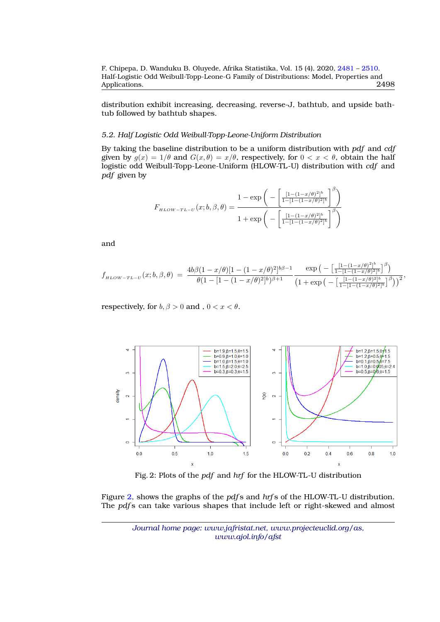distribution exhibit increasing, decreasing, reverse-J, bathtub, and upside bathtub followed by bathtub shapes.

# *5.2. Half Logistic Odd Weibull-Topp-Leone-Uniform Distribution*

By taking the baseline distribution to be a uniform distribution with *pdf* and *cdf* given by  $g(x) = 1/\theta$  and  $G(x, \theta) = x/\theta$ , respectively, for  $0 < x < \theta$ , obtain the half logistic odd Weibull-Topp-Leone-Uniform (HLOW-TL-U) distribution with *cdf* and *pdf* given by

$$
F_{\mu\text{LOW-TL-U}}(x;b,\beta,\theta) = \frac{1 - \exp\bigg(-\bigg[\frac{[1 - (1 - x/\theta)^2]^b}{1 - [1 - (1 - x/\theta)^2]^b}\bigg]^{\beta}\bigg)}{1 + \exp\bigg(-\bigg[\frac{[1 - (1 - x/\theta)^2]^b}{1 - [1 - (1 - x/\theta)^2]^b}\bigg]^{\beta}\bigg)}
$$

and

$$
f_{\mu\text{LOW-TL-U}}(x;b,\beta,\theta) = \frac{4b\beta(1-x/\theta)[1-(1-x/\theta)^2]^{b\beta-1}}{\theta(1-[1-(1-x/\theta)^2]^b)^{\beta+1}} \frac{\exp\left(-\left[\frac{[1-(1-x/\theta)^2]^b}{1-[1-(1-x/\theta)^2]^b}\right]^\beta\right)}{\left(1+\exp\left(-\left[\frac{[1-(1-x/\theta)^2]^b}{1-[1-(1-x/\theta)^2]^b}\right]^\beta\right)\right)^2},
$$

<span id="page-17-0"></span>respectively, for  $b, \beta > 0$  and ,  $0 < x < \theta$ .



Fig. 2: Plots of the *pdf* and *hrf* for the HLOW-TL-U distribution

Figure [2,](#page-17-0) shows the graphs of the *pdf* s and *hrf* s of the HLOW-TL-U distribution. The *pdf* s can take various shapes that include left or right-skewed and almost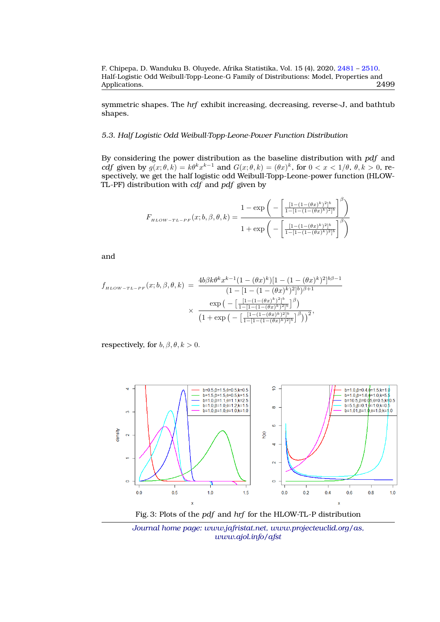symmetric shapes. The *hrf* exhibit increasing, decreasing, reverse-J, and bathtub shapes.

# *5.3. Half Logistic Odd Weibull-Topp-Leone-Power Function Distribution*

By considering the power distribution as the baseline distribution with *pdf* and *cdf* given by  $g(x; \theta, k) = k\theta^k x^{k-1}$  and  $G(x; \theta, k) = (\theta x)^k$ , for  $0 < x < 1/\theta$ ,  $\theta, k > 0$ , respectively, we get the half logistic odd Weibull-Topp-Leone-power function (HLOW-TL-PF) distribution with *cdf* and *pdf* given by

$$
F_{\scriptscriptstyle{HLOW-TL-PF}}(x;b,\beta,\theta,k) = \frac{1-\exp\bigg(-\bigg[\frac{[1-(1-(\theta x)^k)^2]^b}{1-[1-(1-(\theta x)^k)^2]^b}\bigg]^\beta\bigg)}{1+\exp\bigg(-\bigg[\frac{[1-(1-(\theta x)^k)^2]^b}{1-[1-(1-(\theta x)^k)^2]^b}\bigg]^\beta\bigg)}
$$

and

$$
f_{\mu\text{LOW-TL-PF}}(x;b,\beta,\theta,k) = \frac{4b\beta k\theta^k x^{k-1} (1 - (\theta x)^k)[1 - (1 - (\theta x)^k)^2]^{b\beta - 1}}{(1 - [1 - (1 - (\theta x)^k)^2]^{b})^{\beta + 1}}
$$

$$
\times \frac{\exp\left(-\left[\frac{[1 - (1 - (\theta x)^k)^2]^b}{1 - [1 - (1 - (\theta x)^k)^2]^b}\right]^\beta\right)}{(1 + \exp\left(-\left[\frac{[1 - (1 - (\theta x)^k)^2]^b}{1 - [1 - (1 - (\theta x)^k)^2]^b}\right]^\beta\right))^2},
$$

respectively, for  $b, \beta, \theta, k > 0$ .

<span id="page-18-0"></span>

Fig. 3: Plots of the *pdf* and *hrf* for the HLOW-TL-P distribution

*Journal home page: www.jafristat.net, www.projecteuclid.org/as, www.ajol.info/afst*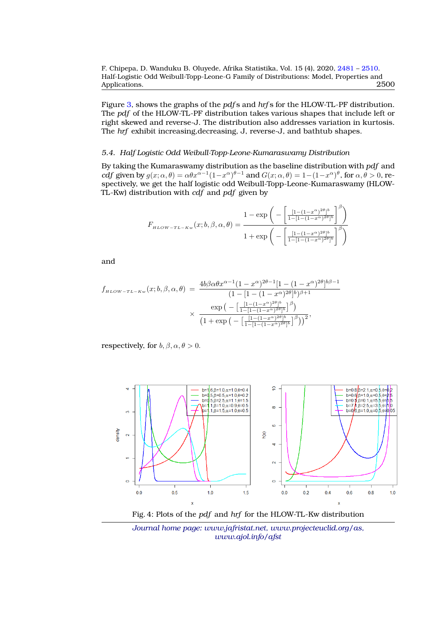Figure [3,](#page-18-0) shows the graphs of the *pdf* s and *hrf* s for the HLOW-TL-PF distribution. The *pdf* of the HLOW-TL-PF distribution takes various shapes that include left or right skewed and reverse-J. The distribution also addresses variation in kurtosis. The *hrf* exhibit increasing,decreasing, J, reverse-J, and bathtub shapes.

#### *5.4. Half Logistic Odd Weibull-Topp-Leone-Kumaraswamy Distribution*

By taking the Kumaraswamy distribution as the baseline distribution with *pdf* and *cdf* given by  $g(x; \alpha, \theta) = \alpha \theta x^{\alpha-1} (1-x^{\alpha})^{\theta-1}$  and  $G(x; \alpha, \theta) = 1 - (1-x^{\alpha})^{\theta}$ , for  $\alpha, \theta > 0$ , respectively, we get the half logistic odd Weibull-Topp-Leone-Kumaraswamy (HLOW-TL-Kw) distribution with *cdf* and *pdf* given by

$$
F_{\scriptscriptstyle{HLOW-TL-Kw}}(x;b,\beta,\alpha,\theta) = \frac{1-\exp\bigg(-\bigg[\frac{[1-(1-x^{\alpha})^{2\theta}]^{b}}{1-[1-(1-x^{\alpha})^{2\theta}]^{b}}\bigg]^{\beta}\bigg)}{1+\exp\bigg(-\bigg[\frac{[1-(1-x^{\alpha})^{2\theta}]^{b}}{1-[1-(1-x^{\alpha})^{2\theta}]^{b}}\bigg]^{\beta}\bigg)}
$$

and

$$
f_{\mu_{LOW-TL-Kw}}(x;b,\beta,\alpha,\theta) = \frac{4b\beta\alpha\theta x^{\alpha-1}(1-x^{\alpha})^{2\theta-1}[1-(1-x^{\alpha})^{2\theta}]^{b\beta-1}}{(1-[1-(1-x^{\alpha})^{2\theta}]^{b})^{\beta+1}} \times \frac{\exp\left(-\left[\frac{[1-(1-x^{\alpha})^{2\theta}]^{b}}{1-[1-(1-(1-x^{\alpha})^{2\theta}]^{b}}\right]^\beta\right)}{(1+\exp\left(-\left[\frac{[1-(1-x^{\alpha})^{2\theta}]^{b}}{1-[1-(1-(1-x^{\alpha})^{2\theta}]^{b}}\right]^\beta\right))^{2}},
$$

<span id="page-19-0"></span>respectively, for  $b, \beta, \alpha, \theta > 0$ .



Fig. 4: Plots of the *pdf* and *hrf* for the HLOW-TL-Kw distribution

*Journal home page: www.jafristat.net, www.projecteuclid.org/as, www.ajol.info/afst*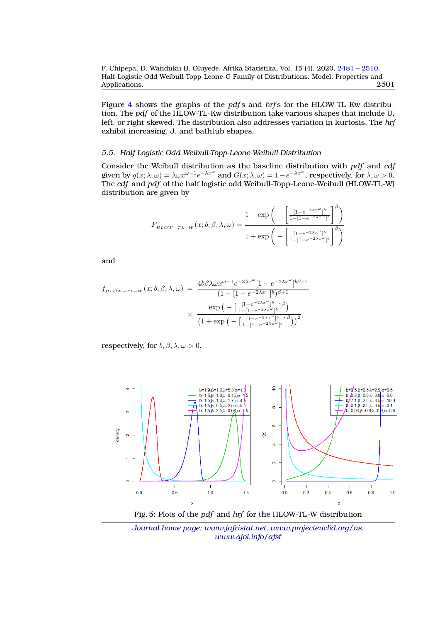Figure [4](#page-19-0) shows the graphs of the *pdf* s and *hrf* s for the HLOW-TL-Kw distribution. The *pdf* of the HLOW-TL-Kw distribution take various shapes that include U, left, or right skewed. The distribution also addresses variation in kurtosis. The *hrf* exhibit increasing, J, and bathtub shapes.

#### *5.5. Half Logistic Odd Weibull-Topp-Leone-Weibull Distribution*

Consider the Weibull distribution as the baseline distribution with *pdf* and *cdf* given by  $g(x; \lambda, \omega) = \lambda \omega x^{\omega - 1} e^{-\lambda x^{\omega}}$  and  $G(x; \lambda, \omega) = 1 - e^{-\lambda x^{\omega}}$ , respectively, for  $\lambda, \omega > 0$ . The *cdf* and *pdf* of the half logistic odd Weibull-Topp-Leone-Weibull (HLOW-TL-W) distribution are given by

$$
F_{\scriptscriptstyle{HLOW-TL-W}}(x;b,\beta,\lambda,\omega) = \frac{1-\exp\bigg(-\bigg[\frac{[1-e^{-2\lambda x^{\omega}}]^b}{1-[1-e^{-2\lambda x^{\omega}}]^b}\bigg]^{\beta}\bigg)}{1+\exp\bigg(-\bigg[\frac{[1-e^{-2\lambda x^{\omega}}]^b}{1-[1-e^{-2\lambda x^{\omega}}]^b}\bigg]^{\beta}\bigg)}
$$

and

$$
f_{\mu_{LOW-TL-W}}(x;b,\beta,\lambda,\omega) = \frac{4b\beta\lambda\omega x^{\omega-1}e^{-3\lambda x^{\omega}}[1 - e^{-2\lambda x^{\omega}}]^{b\beta-1}}{(1 - [1 - e^{-2\lambda x^{\omega}}]^{b})^{\beta+1}} \times \frac{\exp\left(-\left[\frac{[1 - e^{-2\lambda x^{\omega}}]^{b}}{1 - [1 - e^{-2\lambda x^{\omega}}]^{b}}\right]^{\beta}\right)}{(1 + \exp\left(-\left[\frac{[1 - e^{-2\lambda x^{\omega}}]^{b}}{1 - [1 - e^{-2\lambda x^{\omega}}]^{b}}\right]^{\beta}\right))^{2}},
$$

respectively, for  $b, \beta, \lambda, \omega > 0$ .

<span id="page-20-0"></span>

Fig. 5: Plots of the *pdf* and *hrf* for the HLOW-TL-W distribution

*Journal home page: www.jafristat.net, www.projecteuclid.org/as, www.ajol.info/afst*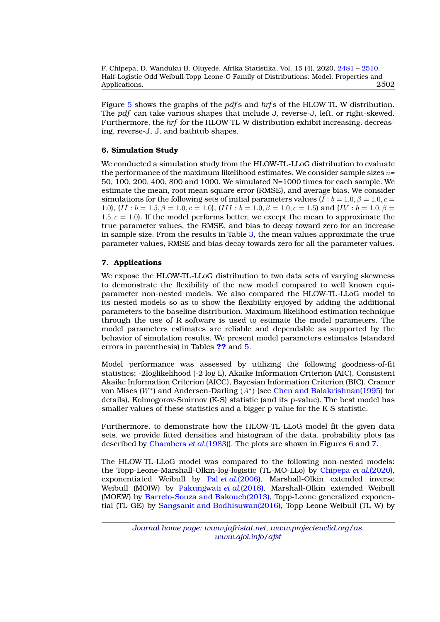Figure [5](#page-20-0) shows the graphs of the *pdf* s and *hrf* s of the HLOW-TL-W distribution. The *pdf* can take various shapes that include J, reverse-J, left, or right-skewed. Furthermore, the *hrf* for the HLOW-TL-W distribution exhibit increasing, decreasing, reverse-J, J, and bathtub shapes.

# **6. Simulation Study**

We conducted a simulation study from the HLOW-TL-LLoG distribution to evaluate the performance of the maximum likelihood estimates. We consider sample sizes  $n=$ 50, 100, 200, 400, 800 and 1000. We simulated N=1000 times for each sample. We estimate the mean, root mean square error (RMSE), and average bias. We consider simulations for the following sets of initial parameters values ( $\overline{l}$  :  $b = 1.0, \beta = 1.0, c =$ 1.0),  $(II : b = 1.5, \beta = 1.0, c = 1.0)$ ,  $(III : b = 1.0, \beta = 1.0, c = 1.5)$  and  $(IV : b = 1.0, \beta = 1.0)$ 1.5,  $c = 1.0$ . If the model performs better, we except the mean to approximate the true parameter values, the RMSE, and bias to decay toward zero for an increase in sample size. From the results in Table [3,](#page-22-0) the mean values approximate the true parameter values, RMSE and bias decay towards zero for all the parameter values.

# **7. Applications**

We expose the HLOW-TL-LLoG distribution to two data sets of varying skewness to demonstrate the flexibility of the new model compared to well known equiparameter non-nested models. We also compared the HLOW-TL-LLoG model to its nested models so as to show the flexibility enjoyed by adding the additional parameters to the baseline distribution. Maximum likelihood estimation technique through the use of R software is used to estimate the model parameters. The model parameters estimates are reliable and dependable as supported by the behavior of simulation results. We present model parameters estimates (standard errors in parenthesis) in Tables **[??](#page-24-0)** and [5.](#page-26-0)

Model performance was assessed by utilizing the following goodness-of-fit statistics; -2loglikelihood (-2 log L), Akaike Information Criterion (AIC), Consistent Akaike Information Criterion (AICC), Bayesian Information Criterion (BIC), Cramer von Mises  $(W^*)$  and Andersen-Darling  $(A^*)$  (see [Chen and Balakrishnan\(1995\)](#page-28-11) for details), Kolmogorov-Smirnov (K-S) statistic (and its p-value). The best model has smaller values of these statistics and a bigger p-value for the K-S statistic.

Furthermore, to demonstrate how the HLOW-TL-LLoG model fit the given data sets, we provide fitted densities and histogram of the data, probability plots (as described by [Chambers](#page-28-12) *et al.*(1983)). The plots are shown in Figures [6](#page-25-0) and [7.](#page-26-1)

The HLOW-TL-LLoG model was compared to the following non-nested models: the Topp-Leone-Marshall-Olkin-log-logistic (TL-MO-LLo) by [Chipepa](#page-28-5) *et al.*(2020), exponentiated Weibull by Pal *et al.*[\(2006\),](#page-28-13) Marshall-Olkin extended inverse Weibull (MOIW) by [Pakungwati](#page-28-14) *et al.*(2018), Marshall-Olkin extended Weibull (MOEW) by [Barreto-Souza and Bakouch\(2013\),](#page-28-15) Topp-Leone generalized exponential (TL-GE) by [Sangsanit and Bodhisuwan\(2016\),](#page-29-2) Topp-Leone-Weibull (TL-W) by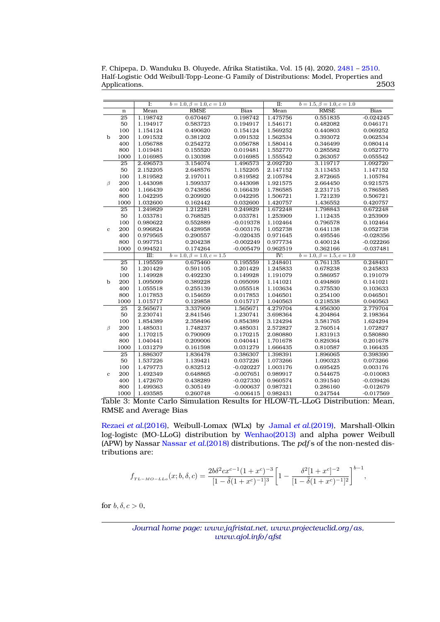F. Chipepa, D. Wanduku B. Oluyede, Afrika Statistika, Vol. 15 (4), 2020, [2481](#page-0-0) – [2510.](#page-27-0) Half-Logistic Odd Weibull-Topp-Leone-G Family of Distributions: Model, Properties and Applications.

<span id="page-22-0"></span>

| $\overline{I}$ : |                 |                      | $b = 1.0, \beta = 1.0, c = 1.0$ |                      | $\overline{\mathbf{II}}$ : | $b = 1.5, \beta = 1.0, c = 1.0$ |                      |
|------------------|-----------------|----------------------|---------------------------------|----------------------|----------------------------|---------------------------------|----------------------|
|                  | $\mathbf n$     | Mean                 | <b>RMSE</b>                     | <b>Bias</b>          | Mean                       | <b>RMSE</b>                     | <b>Bias</b>          |
|                  | $\overline{25}$ | 1.198742             | 0.670467                        | 0.198742             | 1.475756                   | 0.551835                        | $-0.024245$          |
|                  | 50              | 1.194917             | 0.583723                        | 0.194917             | 1.546171                   | 0.482082                        | 0.046171             |
|                  | 100             | 1.154124             | 0.490620                        | 0.154124             | 1.569252                   | 0.440803                        | 0.069252             |
| b                | 200             | 1.091532             | 0.381202                        | 0.091532             | 1.562534                   | 0.393072                        | 0.062534             |
|                  | 400             | 1.056788             | 0.254272                        | 0.056788             | 1.580414                   | 0.346499                        | 0.080414             |
|                  | 800             | 1.019481             | 0.155520                        | 0.019481             | 1.552770                   | 0.285582                        | 0.052770             |
|                  | 1000            | 1.016985             | 0.130398                        | 0.016985             | 1.555542                   | 0.263057                        | 0.055542             |
|                  | 25              | 2.496573             | 3.154074                        | 1.496573             | 2.092720                   | 3.119717                        | 1.092720             |
|                  | 50              | 2.152205             | 2.648576                        | 1.152205             | 2.147152                   | 3.113453                        | 1.147152             |
|                  | 100             | 1.819582             | 2.197011                        | 0.819582             | 2.105784                   | 2.872665                        | 1.105784             |
| β                | 200             | 1.443098             | 1.599337                        | 0.443098             | 1.921575                   | 2.664450                        | 0.921575             |
|                  | 400             | 1.166439             | 0.743856                        | 0.166439             | 1.786585                   | 2.231715                        | 0.786585             |
|                  | 800             | 1.042295             | 0.209920                        | 0.042295             | 1.506721                   | 1.721239                        | 0.506721             |
|                  | 1000            | 1.032600             | 0.162442                        | 0.032600             | 1.420757                   | 1.436552                        | 0.420757             |
|                  | $\overline{25}$ | 1.249829             | 1.212281                        | 0.249829             | 1.672248                   | 1.798843                        | 0.672248             |
|                  | 50              | 1.033781             | 0.768525                        | 0.033781             | 1.253909                   | 1.112435                        | 0.253909             |
|                  | 100             | 0.980622             | 0.552889                        | $-0.019378$          | 1.102464                   | 0.796578                        | 0.102464             |
| $\mathbf{c}$     | 200             | 0.996824             | 0.428958                        | $-0.003176$          | 1.052738                   | 0.641138                        | 0.052738             |
|                  | 400             | 0.979565             | 0.290557                        | $-0.020435$          | 0.971645                   | 0.495546                        | $-0.028356$          |
|                  | 800             | 0.997751             | 0.204238                        | $-0.002249$          | 0.977734                   | 0.400124                        | $-0.022266$          |
|                  | 1000            | 0.994521             | 0.174264                        | $-0.005479$          | 0.962519                   | 0.362166                        | $-0.037481$          |
|                  |                 | III:                 | $b = 1.0, \beta = 1.0, c = 1.5$ |                      | $\overline{\text{IV}}$ :   | $b = 1.0, \beta = 1.5, c = 1.0$ |                      |
|                  | $\overline{25}$ | 1.195559             | 0.675460                        | 0.195559             | 1.248401                   | 0.761135                        | 0.248401             |
|                  | 50<br>100       | 1.201429             | 0.591105<br>0.492230            | 0.201429<br>0.149928 | 1.245833                   | 0.678238                        | 0.245833             |
|                  | 200             | 1.149928             |                                 |                      | 1.191079                   | 0.586957                        | 0.191079             |
| b                | 400             | 1.095099             | 0.389228                        | 0.095099             | 1.141021                   | 0.494869                        | 0.141021             |
|                  | 800             | 1.055518<br>1.017853 | 0.255139<br>0.154659            | 0.055518<br>0.017853 | 1.103634                   | 0.375530<br>0.254100            | 0.103633<br>0.046501 |
|                  | 1000            | 1.015717             | 0.129858                        | 0.015717             | 1.046501<br>1.040563       | 0.218538                        | 0.040563             |
|                  | $\overline{25}$ | 2.565671             | 3.337909                        | 1.565671             | 4.279704                   | 4.956300                        | 2.779704             |
|                  | 50              | 2.230741             | 2.841546                        | 1.230741             | 3.698364                   | 4.204864                        | 2.198364             |
|                  | 100             | 1.854389             | 2.358496                        | 0.854389             | 3.124294                   | 3.581765                        | 1.624294             |
| β                | 200             | 1.485031             | 1.748237                        | 0.485031             | 2.572827                   | 2.760514                        | 1.072827             |
|                  | 400             | 1.170215             | 0.790909                        | 0.170215             | 2.080880                   | 1.831913                        | 0.580880             |
|                  | 800             | 1.040441             | 0.209006                        | 0.040441             | 1.701678                   | 0.829364                        | 0.201678             |
|                  | 1000            | 1.031279             | 0.161598                        | 0.031279             | 1.666435                   | 0.810587                        | 0.166435             |
|                  | $\overline{25}$ | 1.886307             | 1.836478                        | 0.386307             | 1.398391                   | 1.896065                        | 0.398390             |
|                  | 50              | 1.537226             | 1.139421                        | 0.037226             | 1.073266                   | 1.090323                        | 0.073266             |
|                  | 100             | 1.479773             | 0.832512                        | $-0.020227$          | 1.003176                   | 0.695425                        | 0.003176             |
| $\mathbf{c}$     | 200             | 1.492349             | 0.648865                        | $-0.007651$          | 0.989917                   | 0.544675                        | $-0.010083$          |
|                  | 400             | 1.472670             | 0.438289                        | $-0.027330$          | 0.960574                   | 0.391540                        | $-0.039426$          |
|                  | 800             | 1.499363             | 0.305149                        | $-0.000637$          | 0.987321                   | 0.286160                        | $-0.012679$          |
|                  | 1000            | 1.493585             | 0.260748                        | $-0.006415$          | 0.982431                   | 0.247544                        | $-0.017569$          |
|                  |                 |                      |                                 |                      |                            |                                 |                      |

Table 3: Monte Carlo Simulation Results for HLOW-TL-LLoG Distribution: Mean, RMSE and Average Bias

Rezaei *et al.*[\(2016\),](#page-29-3) Weibull-Lomax (WLx) by Jamal *et al.*[\(2019\),](#page-28-16) Marshall-Olkin log-logistc (MO-LLoG) distribution by [Wenhao\(2013\)](#page-29-4) and alpha power Weibull (APW) by Nassar [Nassar](#page-28-17) *et al.*(2018) distributions. The *pdf* s of the non-nested distributions are:

$$
f_{TL-MO-LLo}(x;b,\delta,c) = \frac{2b\delta^2cx^{c-1}(1+x^c)^{-3}}{[1-\overline{\delta}(1+x^c)^{-1}]^3} \left[1 - \frac{\delta^2[1+x^c]^{-2}}{[1-\overline{\delta}(1+x^c)^{-1}]^2}\right]^{b-1},
$$

for  $b, \delta, c > 0$ ,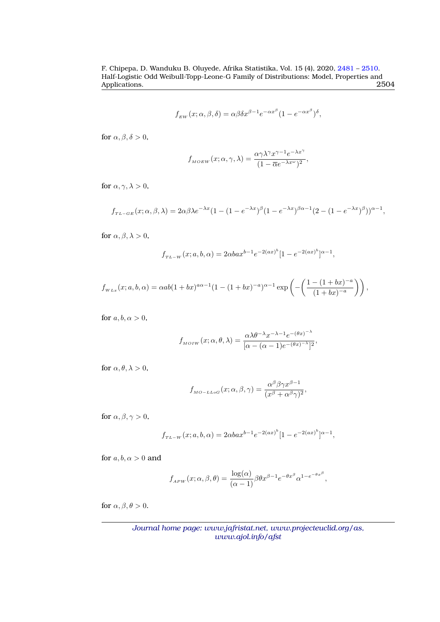$$
f_{\scriptscriptstyle EW}(x;\alpha,\beta,\delta)=\alpha\beta\delta x^{\beta-1}e^{-\alpha x^\beta}(1-e^{-\alpha x^\beta})^\delta,
$$

for  $\alpha, \beta, \delta > 0$ ,

$$
f_{_{MOEW}}(x;\alpha,\gamma,\lambda)=\frac{\alpha\gamma\lambda^\gamma x^{\gamma-1}e^{-\lambda x^\gamma}}{(1-\overline{\alpha}e^{-\lambda x^\omega})^2},
$$

for  $\alpha, \gamma, \lambda > 0$ ,

$$
f_{TL-GE}(x;\alpha,\beta,\lambda) = 2\alpha\beta\lambda e^{-\lambda x}(1-(1-e^{-\lambda x})^{\beta}(1-e^{-\lambda x})^{\beta\alpha-1}(2-(1-e^{-\lambda x})^{\beta}))^{\alpha-1},
$$

for  $\alpha, \beta, \lambda > 0$ ,

$$
f_{TL-W}(x;a,b,\alpha) = 2\alpha b a x^{b-1} e^{-2(ax)^b} [1 - e^{-2(ax)^b}]^{\alpha-1},
$$

$$
f_{WLx}(x;a,b,\alpha) = \alpha ab(1+bx)^{a\alpha-1}(1-(1+bx)^{-a})^{\alpha-1}\exp\left(-\left(\frac{1-(1+bx)^{-a}}{(1+bx)^{-a}}\right)\right),
$$

for  $a, b, \alpha > 0$ ,

$$
f_{M O I W}(x; \alpha, \theta, \lambda) = \frac{\alpha \lambda \theta^{-\lambda} x^{-\lambda - 1} e^{-(\theta x)^{-\lambda}}}{[\alpha - (\alpha - 1)e^{-(\theta x)^{-\lambda}}]^2},
$$

for  $\alpha, \theta, \lambda > 0$ ,

$$
f_{\scriptscriptstyle MO-LLoG}(x;\alpha,\beta,\gamma) = \frac{\alpha^{\beta}\beta\gamma x^{\beta-1}}{(x^{\beta} + \alpha^{\beta}\gamma)^2},
$$

for  $\alpha, \beta, \gamma > 0$ ,

$$
f_{TL-W}(x;a,b,\alpha) = 2\alpha b a x^{b-1} e^{-2(ax)^b} [1 - e^{-2(ax)^b}]^{\alpha-1},
$$

for  $a, b, \alpha > 0$  and

$$
f_{APW}(x; \alpha, \beta, \theta) = \frac{\log(\alpha)}{(\alpha - 1)} \beta \theta x^{\beta - 1} e^{-\theta x^{\beta}} \alpha^{1 - e^{-\theta x^{\beta}}},
$$

for  $\alpha, \beta, \theta > 0$ .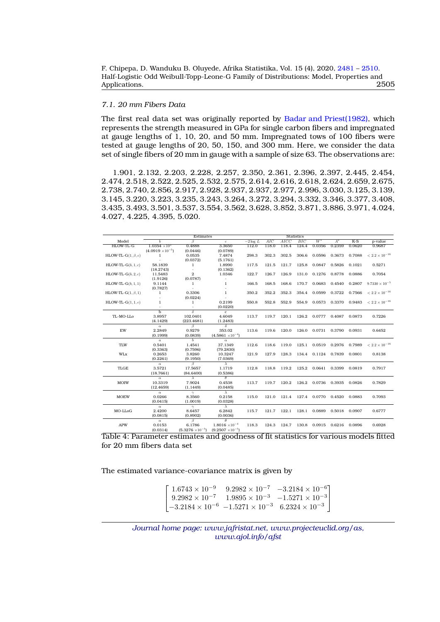# *7.1. 20 mm Fibers Data*

The first real data set was originally reported by [Badar and Priest\(1982\),](#page-27-4) which represents the strength measured in GPa for single carbon fibers and impregnated at gauge lengths of 1, 10, 20, and 50 mm. Impregnated tows of 100 fibers were tested at gauge lengths of 20, 50, 150, and 300 mm. Here, we consider the data set of single fibers of 20 mm in gauge with a sample of size 63. The observations are:

1.901, 2.132, 2.203, 2.228, 2.257, 2.350, 2.361, 2.396, 2.397, 2.445, 2.454, 2.474, 2.518, 2.522, 2.525, 2.532, 2.575, 2.614, 2.616, 2.618, 2.624, 2.659, 2.675, 2.738, 2.740, 2.856, 2.917, 2.928, 2.937, 2.937, 2.977, 2.996, 3.030, 3.125, 3.139, 3.145, 3.220, 3.223, 3.235, 3.243, 3.264, 3.272, 3.294, 3.332, 3.346, 3.377, 3.408, 3.435, 3.493, 3.501, 3.537, 3.554, 3.562, 3.628, 3.852, 3.871, 3.886, 3.971, 4.024, 4.027, 4.225, 4.395, 5.020.

<span id="page-24-0"></span>

|                           |                           | Estimates                 |                           |            |       |       | <b>Statistics</b> |                     |               |        |                                                           |
|---------------------------|---------------------------|---------------------------|---------------------------|------------|-------|-------|-------------------|---------------------|---------------|--------|-----------------------------------------------------------|
| Model                     |                           | ß                         | $\mathfrak{c}$            | $-2\log L$ | AIC   | AICC  | BIC               | $W^*$               | $A^*$         | $K-S$  | p-value                                                   |
| HLOW-TL-G                 | $1.0354 \times 10^3$      | 0.4888                    | 3.3650                    | 112.0      | 118.0 | 118.4 | 124.4             | 0.0356              | 0.2359        | 0.0620 | 0.9687                                                    |
|                           | $(4.0919 \times 10^{-5})$ | (0.0446)                  | (0.0789)                  |            |       |       |                   |                     |               |        |                                                           |
| HLOW-TL-G $(1, \beta, c)$ | 1                         | 0.0535                    | 7.4874                    | 298.3      | 302.3 | 302.5 | 306.6             | 0.0596              | 0.3673        | 0.7088 | $< 2.2 \times 10^{-16}$                                   |
|                           | $\sim$                    | (0.0372)                  | (5.1761)                  |            |       |       |                   |                     |               |        |                                                           |
| HLOW-TL- $G(b, 1, c)$     | 58.1839                   | 1                         | 1.8990                    | 117.5      | 121.5 | 121.7 | 125.8             | 0.0847              | 0.5826        | 0.1021 | 0.5271                                                    |
|                           | (18.2743)                 | $\bar{\phantom{a}}$       | (0.1362)                  |            |       |       |                   |                     |               |        |                                                           |
| HLOW-TL- $G(b, 2, c)$     | 11.5483                   | $\overline{2}$            | 1.0346                    | 122.7      | 126.7 | 126.9 | 131.0             | 0.1276 0.8778       |               | 0.0886 | 0.7054                                                    |
|                           | (1.9126)                  | (0.0787)                  | ÷                         |            |       |       |                   |                     |               |        |                                                           |
| $HLOW-TL-G(b, 1, 1)$      | 9.1144                    | $\mathbf{1}$              | $\mathbf{1}$              | 166.5      | 168.5 | 168.6 | 170.7             | 0.0683              | 0.4540        | 0.2807 | $9.7330 \times 10^{-5}$                                   |
|                           | (0.7827)                  |                           |                           |            |       |       |                   |                     |               |        |                                                           |
| HLOW-TL-G $(1, \beta, 1)$ | $\mathbf{1}$              | 0.3306                    | $\mathbf{1}$              | 350.2      | 352.2 | 352.3 | 354.4             | 0.0599              | 0.3722        | 0.7566 | $< 2.2 \times 10^{-16}$                                   |
|                           |                           | (0.0224)                  |                           |            |       |       |                   |                     |               |        |                                                           |
| $HLOW-TL-G(1, 1, c)$      | $\mathbf{1}$              | $\mathbf{1}$              | 0.2199                    | 550.8      | 552.8 | 552.9 | 554.9             |                     |               |        | 0.0573 0.3370 0.9483 $\lt$ 2.2 $\times$ 10 <sup>-16</sup> |
|                           |                           | ÷.                        | (0.0220)                  |            |       |       |                   |                     |               |        |                                                           |
|                           | $\overline{h}$            | $\overline{\delta}$       | $\mathbf{c}$              |            |       |       |                   |                     |               |        |                                                           |
| TL-MO-LLo                 | 3.8957                    | 102.0401                  | 4.6049                    | 113.7      | 119.7 | 120.1 | 126.2             | 0.0777              | 0.4087        | 0.0873 | 0.7226                                                    |
|                           | (4.1429)                  | (223.4681)                | (1.2483)                  |            |       |       |                   |                     |               |        |                                                           |
|                           | $\alpha$                  | $\beta$                   | δ                         |            |       |       |                   |                     |               |        |                                                           |
| $\mathbf{EW}$             | 2.2849                    | 0.9279                    | 353.02                    | 113.6      | 119.6 | 120.0 | 126.0             | 0.0731              | 0.3790        | 0.0931 | 0.6452                                                    |
|                           | (0.1999)                  | (0.0839)                  | $(4.5861 \times 10^{-4})$ |            |       |       |                   |                     |               |        |                                                           |
|                           | $\boldsymbol{a}$          | $\overline{b}$            | $\alpha$                  |            |       |       |                   |                     |               |        |                                                           |
| TLW                       | 0.5401                    | 1.4541                    | 37.1349                   | 112.6      | 118.6 | 119.0 | 125.1             | 0.0519              | 0.2976        | 0.7989 | $< 2.2 \times 10^{-16}$                                   |
|                           | (0.3363)                  | (0.7596)                  | (79.2830)                 |            |       |       |                   |                     |               |        |                                                           |
| WLx                       | 0.2653                    | 3.8260                    | 10.3247                   | 121.9      | 127.9 | 128.3 |                   | 134.4 0.1124 0.7839 |               | 0.0801 | 0.8138                                                    |
|                           | (0.2261)                  | (9.1950)                  | (7.0369)                  |            |       |       |                   |                     |               |        |                                                           |
|                           | $\alpha$                  | B                         | $\lambda$                 |            |       |       |                   |                     |               |        |                                                           |
| <b>TLGE</b>               | 3.5721                    | 17.5657                   | 1.1719                    | 112.8      | 118.8 | 119.2 | 125.2             | 0.0641              | 0.3399        | 0.0819 | 0.7917                                                    |
|                           | (18.7661)                 | (84.6400)                 | (0.5386)                  |            |       |       |                   |                     |               |        |                                                           |
|                           | $\alpha$                  | $\lambda$                 | $\theta$                  |            |       |       |                   |                     |               |        |                                                           |
| <b>MOIW</b>               | 10.3319                   | 7.9024                    | 0.4538                    | 113.7      | 119.7 | 120.2 | 126.2             | 0.0736              | 0.3935        | 0.0826 | 0.7829                                                    |
|                           | (12.4659)                 | (1.1449)                  | (0.0485)                  |            |       |       |                   |                     |               |        |                                                           |
|                           | $\alpha$                  | $\gamma$                  | $\overline{\lambda}$      |            |       |       |                   |                     |               |        |                                                           |
| <b>MOEW</b>               | 0.0266                    | 8.3560                    | 0.2158                    | 115.0      | 121.0 | 121.4 | 127.4             |                     | 0.0770 0.4520 | 0.0883 | 0.7093                                                    |
|                           | (0.0415)                  | (1.0019)                  | (0.0328)                  |            |       |       |                   |                     |               |        |                                                           |
|                           | $\alpha$                  | $\gamma$                  | $\lambda$                 |            |       |       |                   |                     |               |        |                                                           |
| MO-LLoG                   | 2.4200                    | 8.6457                    | 6.2842                    | 115.7      | 121.7 | 122.1 | 128.1             | 0.0889              | 0.5018        | 0.0907 | 0.6777                                                    |
|                           | (0.0815)                  | (0.8902)                  | (0.0036)                  |            |       |       |                   |                     |               |        |                                                           |
|                           | $\alpha$                  | B                         | $\theta$                  |            |       |       |                   |                     |               |        |                                                           |
| <b>APW</b>                | 0.0153                    | 6.1786                    | $1.8016 \times 10^{-4}$   | 118.3      | 124.3 | 124.7 | 130.8             | 0.0915              | 0.6216        | 0.0896 | 0.6928                                                    |
|                           | (0.0314)                  | $(5.3276 \times 10^{-5})$ | $(9.2507 \times 10^{-5})$ |            |       |       |                   |                     |               |        |                                                           |

Table 4: Parameter estimates and goodness of fit statistics for various models fitted for 20 mm fibers data set

The estimated variance-covariance matrix is given by

```
\lceil\overline{\phantom{a}}1.6743 \times 10^{-9} 9.2982 \times 10^{-7} -3.2184 \times 10^{-6}9.2982 \times 10^{-7} 1.9895 × 10<sup>-3</sup> -1.5271 × 10<sup>-3</sup>
-3.2184 \times 10^{-6} -1.5271 \times 10^{-3} 6.2324 × 10<sup>-3</sup>
                                                                                  1
                                                                                  \overline{1}
```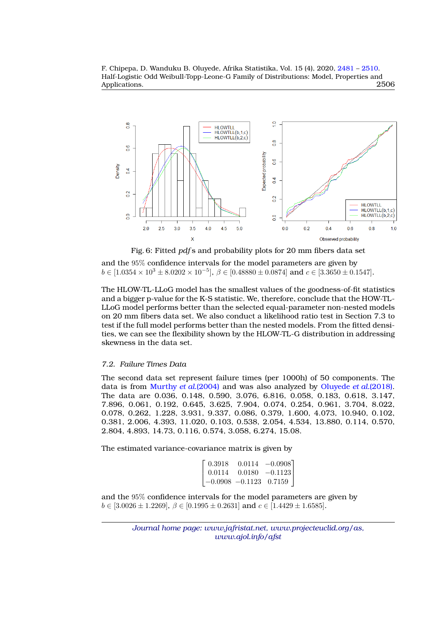<span id="page-25-0"></span>

Fig. 6: Fitted *pdf* s and probability plots for 20 mm fibers data set

and the 95% confidence intervals for the model parameters are given by  $b \in [1.0354 \times 10^3 \pm 8.0202 \times 10^{-5}], \, \beta \in [0.48880 \pm 0.0874] \text{ and } c \in [3.3650 \pm 0.1547].$ 

The HLOW-TL-LLoG model has the smallest values of the goodness-of-fit statistics and a bigger p-value for the K-S statistic. We, therefore, conclude that the HOW-TL-LLoG model performs better than the selected equal-parameter non-nested models on 20 mm fibers data set. We also conduct a likelihood ratio test in Section 7.3 to test if the full model performs better than the nested models. From the fitted densities, we can see the flexibility shown by the HLOW-TL-G distribution in addressing skewness in the data set.

#### *7.2. Failure Times Data*

The second data set represent failure times (per 1000h) of 50 components. The data is from [Murthy](#page-28-18) *et al.*(2004) and was also analyzed by [Oluyede](#page-28-19) *et al.*(2018). The data are 0.036, 0.148, 0.590, 3.076, 6.816, 0.058, 0.183, 0.618, 3.147, 7.896, 0.061, 0.192, 0.645, 3.625, 7.904, 0.074, 0.254, 0.961, 3.704, 8.022, 0.078, 0.262, 1.228, 3.931, 9.337, 0.086, 0.379, 1.600, 4.073, 10.940, 0.102, 0.381, 2.006, 4.393, 11.020, 0.103, 0.538, 2.054, 4.534, 13.880, 0.114, 0.570, 2.804, 4.893, 14.73, 0.116, 0.574, 3.058, 6.274, 15.08.

The estimated variance-covariance matrix is given by

| 0.3918 |                            | $0.0114 - 0.0908$ |
|--------|----------------------------|-------------------|
| 0.0114 |                            | $0.0180 -0.1123$  |
|        | $-0.0908$ $-0.1123$ 0.7159 |                   |

and the 95% confidence intervals for the model parameters are given by  $b \in [3.0026 \pm 1.2269], \beta \in [0.1995 \pm 0.2631]$  and  $c \in [1.4429 \pm 1.6585].$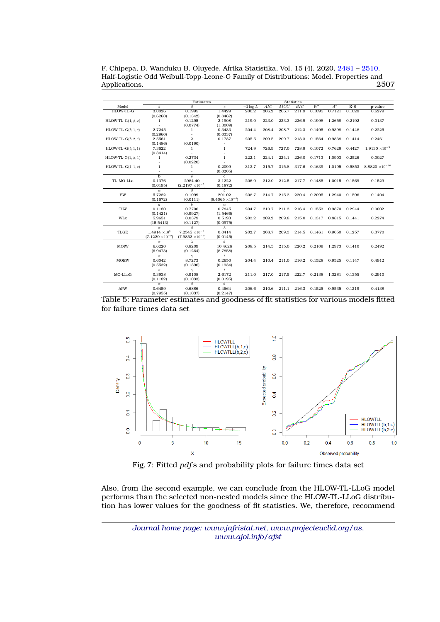F. Chipepa, D. Wanduku B. Oluyede, Afrika Statistika, Vol. 15 (4), 2020, [2481](#page-0-0) – [2510.](#page-27-0) Half-Logistic Odd Weibull-Topp-Leone-G Family of Distributions: Model, Properties and Applications.

<span id="page-26-0"></span>

|                           |                           | Estimates                      |                           |            |       |       | <b>Statistics</b> |              |               |        |                          |
|---------------------------|---------------------------|--------------------------------|---------------------------|------------|-------|-------|-------------------|--------------|---------------|--------|--------------------------|
| Model                     | h                         | Β                              | $\overline{c}$            | $-2\log L$ | AIC   | AICC  | BIC               | $W^*$        | $A^*$         | $K-S$  | p-value                  |
| HLOW-TL-G                 | 3.0026                    | 0.1995                         | 1.4429                    | 200.2      | 206.2 | 206.7 | 211.9             | 0.1095       | 0.7121        | 0.1029 | 0.6279                   |
|                           | (0.6260)                  | (0.1342)                       | (0.8462)                  |            |       |       |                   |              |               |        |                          |
| HLOW-TL-G $(1, \beta, c)$ | 1                         | 0.1295                         | 2.1908                    | 219.0      | 223.0 | 223.3 | 226.9             | 0.1998       | 1.2658        | 0.2192 | 0.0137                   |
|                           |                           | (0.0774)                       | (1.3009)                  |            |       |       |                   |              |               |        |                          |
| HLOW-TL- $G(b, 1, c)$     | 2.7245                    | $\mathbf{1}$                   | 0.3433                    | 204.4      | 208.4 | 208.7 | 212.3             | 0.1495       | 0.9398        | 0.1448 | 0.2225                   |
|                           | (0.2960)                  | ÷.                             | (0.0337)                  |            |       |       |                   |              |               |        |                          |
| HLOW-TL- $G(b, 2, c)$     | 2.5561                    | $\overline{2}$                 | 0.1737                    | 205.5      | 209.5 | 209.7 | 213.3             | 0.1564       | 0.9838        | 0.1414 | 0.2461                   |
|                           | (0.1486)                  | (0.0190)                       | $\overline{\phantom{a}}$  |            |       |       |                   |              |               |        |                          |
| $HLOW-TL-G(b, 1, 1)$      | 7.3622                    | $\mathbf{1}$                   | $\mathbf{1}$              | 724.9      | 726.9 | 727.0 | 728.8             | 0.1072       | 0.7628        | 0.4427 | $1.9130 \times 10^{-9}$  |
|                           | (0.3414)                  |                                |                           |            |       |       |                   |              |               |        |                          |
| HLOW-TL-G $(1, \beta, 1)$ | 1                         | 0.2734                         | 1                         | 222.1      | 224.1 | 224.1 | 226.0             | 0.1713       | 1.0903        | 0.2526 | 0.0027                   |
|                           |                           | (0.0220)                       |                           |            |       |       |                   |              |               |        |                          |
| HLOW-TL- $G(1, 1, c)$     | 1                         | $\mathbf{1}$                   | 0.2099                    | 313.7      | 315.7 | 315.8 | 317.6             | 0.1639       | 1.0195 0.5853 |        | $8.8820 \times 10^{-16}$ |
|                           |                           |                                | (0.0205)                  |            |       |       |                   |              |               |        |                          |
|                           | $\overline{h}$            | δ                              | $\mathbf{c}$              |            |       |       |                   |              |               |        |                          |
| TL-MO-LLo                 | 0.1376                    | 2984.40                        | 3.1222                    | 206.0      | 212.0 | 212.5 |                   | 217.7 0.1485 | 1.0015        | 0.1569 | 0.1529                   |
|                           | (0.0195)                  | $(2.2197 \times 10^{-5})$      | (0.1872)                  |            |       |       |                   |              |               |        |                          |
|                           | $\alpha$                  | B                              | $\delta$                  |            |       |       |                   |              |               |        |                          |
| EW                        | 5.7282                    | 0.1099                         | 201.02                    | 208.7      | 214.7 | 215.2 | 220.4             | 0.2095       | 1.2940        | 0.1596 | 0.1404                   |
|                           | (0.1672)                  | (0.0111)                       | $(8.4065 \times 10^{-4})$ |            |       |       |                   |              |               |        |                          |
|                           | $\overline{a}$            | $\overline{b}$                 | $\alpha$                  |            |       |       |                   |              |               |        |                          |
| <b>TLW</b>                | 0.1180                    | 0.7706                         | 0.7845                    | 204.7      | 210.7 | 211.2 | 216.4             | 0.1553       | 0.9870        | 0.2944 | 0.0002                   |
|                           | (0.1421)                  | (0.9927)                       | (1.5466)                  |            |       |       |                   |              |               |        |                          |
| WLx                       | 5.9651                    | 0.0379                         | 0.5193                    | 203.2      | 209.2 | 209.8 | 215.0             | 0.1317       | 0.8815        | 0.1441 | 0.2274                   |
|                           | (15.5413)                 | (0.1127)                       | (0.0975)                  |            |       |       |                   |              |               |        |                          |
|                           | $\alpha$                  | $\beta$                        | $\overline{\lambda}$      |            |       |       |                   |              |               |        |                          |
| <b>TLGE</b>               | $1.4914 \times 10^{3}$    | $7.2545 \times 10^{-3}$        | 0.0414                    | 202.7      | 208.7 | 209.3 | 214.5             | 0.1461       | 0.9050 0.1257 |        | 0.3770                   |
|                           | $(7.1220 \times 10^{-9})$ | $(7.9852 \times 10^{-4})$      | (0.0145)                  |            |       |       |                   |              |               |        |                          |
|                           | $\alpha$                  | $\lambda$                      | $\theta$                  |            |       |       |                   |              |               |        |                          |
| <b>MOIW</b>               | 6.6220                    | 0.8209                         | 10.4626                   | 208.5      | 214.5 | 215.0 | 220.2             | 0.2109       | 1.2973        | 0.1410 | 0.2492                   |
|                           | (6.9473)                  | (0.1264)                       | (8.7858)                  |            |       |       |                   |              |               |        |                          |
|                           | $\alpha$                  | $\gamma$                       | $\lambda$                 |            |       |       |                   |              |               |        |                          |
| <b>MOEW</b>               | 0.6042                    | 8.7273                         | 0.2650                    | 204.4      | 210.4 | 211.0 | 216.2             | 0.1528       | 0.9525        | 0.1147 | 0.4912                   |
|                           | (0.5532)                  | (0.1396)                       | (0.1934)                  |            |       |       |                   |              |               |        |                          |
|                           | $\alpha$<br>0.3938        | $\gamma$                       | $\lambda$<br>2.6172       |            |       |       |                   |              |               |        |                          |
| MO-LLoG                   |                           | 0.9108                         |                           | 211.0      | 217.0 | 217.5 | 222.7             | 0.2138       | 1.3281        | 0.1355 | 0.2910                   |
|                           | (0.1182)                  | (0.1033)<br>$\overline{\beta}$ | (0.0195)<br>$\theta$      |            |       |       |                   |              |               |        |                          |
| <b>APW</b>                | $\alpha$<br>0.6459        | 0.6886                         | 0.4664                    | 206.6      |       | 211.1 | 216.3             | 0.1525       | 0.9535        | 0.1219 | 0.4138                   |
|                           | (0.7955)                  | (0.1037)                       | (0.2147)                  |            | 210.6 |       |                   |              |               |        |                          |
|                           |                           |                                |                           |            |       |       |                   |              |               |        |                          |

<span id="page-26-1"></span>



Fig. 7: Fitted *pdf* s and probability plots for failure times data set

Also, from the second example, we can conclude from the HLOW-TL-LLoG model performs than the selected non-nested models since the HLOW-TL-LLoG distribution has lower values for the goodness-of-fit statistics. We, therefore, recommend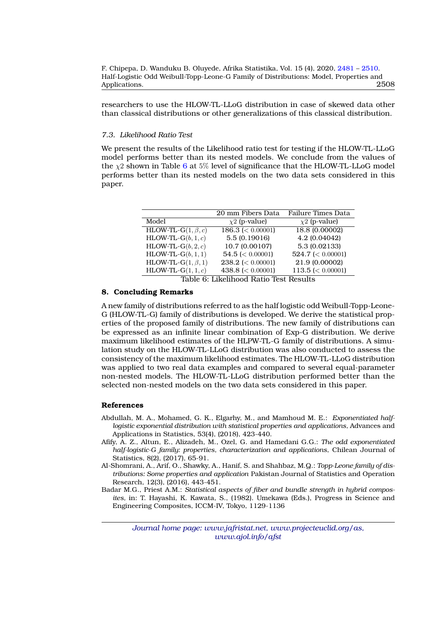researchers to use the HLOW-TL-LLoG distribution in case of skewed data other than classical distributions or other generalizations of this classical distribution.

## *7.3. Likelihood Ratio Test*

We present the results of the Likelihood ratio test for testing if the HLOW-TL-LLoG model performs better than its nested models. We conclude from the values of the  $\chi$ 2 shown in Table [6](#page-27-5) at 5% level of significance that the HLOW-TL-LLoG model performs better than its nested models on the two data sets considered in this paper.

<span id="page-27-5"></span>

|                           | 20 mm Fibers Data     | Failure Times Data    |
|---------------------------|-----------------------|-----------------------|
| Model                     | $\chi$ 2 (p-value)    | $\chi$ 2 (p-value)    |
| HLOW-TL-G $(1, \beta, c)$ | 186.3 ( $< 0.00001$ ) | 18.8 (0.00002)        |
| HLOW-TL- $G(b, 1, c)$     | 5.5 (0.19016)         | 4.2 (0.04042)         |
| HLOW-TL- $G(b, 2, c)$     | 10.7 (0.00107)        | 5.3 (0.02133)         |
| $HLOW-TL-G(b, 1, 1)$      | $54.5 \leq 0.00001$   | $524.7 \leq 0.00001$  |
| HLOW-TL-G $(1, \beta, 1)$ | $238.2 \leq 0.00001$  | 21.9 (0.00002)        |
| HLOW-TL-G $(1, 1, c)$     | 438.8 ( $< 0.00001$ ) | 113.5 ( $< 0.00001$ ) |

Table 6: Likelihood Ratio Test Results

### **8. Concluding Remarks**

A new family of distributions referred to as the half logistic odd Weibull-Topp-Leone-G (HLOW-TL-G) family of distributions is developed. We derive the statistical properties of the proposed family of distributions. The new family of distributions can be expressed as an infinite linear combination of Exp-G distribution. We derive maximum likelihood estimates of the HLPW-TL-G family of distributions. A simulation study on the HLOW-TL-LLoG distribution was also conducted to assess the consistency of the maximum likelihood estimates. The HLOW-TL-LLoG distribution was applied to two real data examples and compared to several equal-parameter non-nested models. The HLOW-TL-LLoG distribution performed better than the selected non-nested models on the two data sets considered in this paper.

#### <span id="page-27-0"></span>**References**

- <span id="page-27-3"></span>Abdullah, M. A., Mohamed, G. K., Elgarhy, M., and Mamhoud M. E.: *Exponentiated halflogistic exponential distribution with statistical properties and applications,* Advances and Applications in Statistics, 53(4), (2018), 423-440.
- <span id="page-27-2"></span>Afify, A. Z., Altun, E., Alizadeh, M., Ozel, G. and Hamedani G.G.: *The odd exponentiated half-logistic-G family: properties, characterization and applications*, Chilean Journal of Statistics, 8(2), (2017), 65-91.
- <span id="page-27-1"></span>Al-Shomrani, A., Arif, O., Shawky, A., Hanif, S. and Shahbaz, M.Q.: *Topp-Leone family of distributions: Some properties and application* Pakistan Journal of Statistics and Operation Research, 12(3), (2016), 443-451.
- <span id="page-27-4"></span>Badar M.G., Priest A.M.: *Statistical aspects of fiber and bundle strength in hybrid composites,* in: T. Hayashi, K. Kawata, S., (1982). Umekawa (Eds.), Progress in Science and Engineering Composites, ICCM-IV, Tokyo, 1129-1136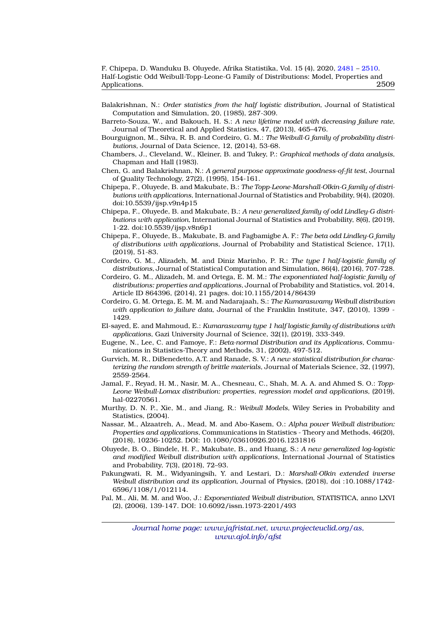- <span id="page-28-8"></span>Balakrishnan, N.: *Order statistics from the half logistic distribution,* Journal of Statistical Computation and Simulation, 20, (1985), 287-309.
- <span id="page-28-15"></span>Barreto-Souza, W., and Bakouch, H. S.: *A new lifetime model with decreasing failure rate,* Journal of Theoretical and Applied Statistics, 47, (2013), 465–476.
- <span id="page-28-1"></span>Bourguignon, M., Silva, R. B. and Cordeiro, G. M.: *The Weibull-G family of probability distributions,* Journal of Data Science, 12, (2014), 53-68.
- <span id="page-28-12"></span>Chambers, J., Cleveland, W., Kleiner, B. and Tukey, P.: *Graphical methods of data analysis,* Chapman and Hall (1983).
- <span id="page-28-11"></span>Chen, G. and Balakrishnan, N.: *A general purpose approximate goodness-of-fit test,* Journal of Quality Technology, 27(2), (1995), 154-161.
- <span id="page-28-5"></span>Chipepa, F., Oluyede, B. and Makubate, B.: *The Topp-Leone-Marshall-Olkin-G family of distributions with applications,* International Journal of Statistics and Probability, 9(4), (2020). doi:10.5539/ijsp.v9n4p15
- <span id="page-28-7"></span>Chipepa, F., Oluyede, B. and Makubate, B.: *A new generalized family of odd Lindley-G distributions with application,* International Journal of Statistics and Probability, 8(6), (2019), 1-22. doi:10.5539/ijsp.v8n6p1
- <span id="page-28-3"></span>Chipepa, F., Oluyede, B., Makubate, B. and Fagbamigbe A. F.: *The beta odd Lindley-G family of distributions with applications,* Journal of Probability and Statistical Science, 17(1), (2019), 51-83.
- <span id="page-28-4"></span>Cordeiro, G. M., Alizadeh, M. and Diniz Marinho, P. R.: *The type I half-logistic family of distributions,* Journal of Statistical Computation and Simulation, 86(4), (2016), 707-728.
- <span id="page-28-9"></span>Cordeiro, G. M., Alizadeh, M. and Ortega, E. M. M.: *The exponentiated half-logistic family of distributions: properties and applications,* Journal of Probability and Statistics, vol. 2014, Article ID 864396, (2014), 21 pages. doi:10.1155/2014/86439
- <span id="page-28-6"></span>Cordeiro, G. M. Ortega, E. M. M. and Nadarajaah, S.: *The Kumaraswamy Weibull distribution with application to failure data,* Journal of the Franklin Institute, 347, (2010), 1399 - 1429.
- <span id="page-28-10"></span>El-sayed, E. and Mahmoud, E.: *Kumaraswamy type 1 half logistic family of distributions with applications,* Gazi University Journal of Science, 32(1), (2019), 333-349.
- <span id="page-28-2"></span>Eugene, N., Lee, C. and Famoye, F.: *Beta-normal Distribution and its Applications,* Communications in Statistics-Theory and Methods, 31, (2002), 497-512.
- <span id="page-28-0"></span>Gurvich, M. R., DiBenedetto, A.T. and Ranade, S. V.: *A new statistical distribution for characterizing the random strength of brittle materials,* Journal of Materials Science, 32, (1997), 2559-2564.
- <span id="page-28-16"></span>Jamal, F., Reyad, H. M., Nasir, M. A., Chesneau, C., Shah, M. A. A. and Ahmed S. O.: *Topp-Leone Weibull-Lomax distribution: properties, regression model and applications,* (2019), hal-02270561.
- <span id="page-28-18"></span>Murthy, D. N. P., Xie, M., and Jiang, R.: *Weibull Models,* Wiley Series in Probability and Statistics, (2004).
- <span id="page-28-17"></span>Nassar, M., Alzaatreh, A., Mead, M. and Abo-Kasem, O.: *Alpha power Weibull distribution: Properties and applications,* Communications in Statistics - Theory and Methods, 46(20), (2018), 10236-10252. DOI: 10.1080/03610926.2016.1231816
- <span id="page-28-19"></span>Oluyede, B. O., Bindele, H. F., Makubate, B., and Huang, S.: *A new generalized log-logistic and modified Weibull distribution with applications,* International Journal of Statistics and Probability, 7(3), (2018), 72–93.
- <span id="page-28-14"></span>Pakungwati, R. M., Widyaningsih, Y. and Lestari, D.: *Marshall-Olkin extended inverse Weibull distribution and its application,* Journal of Physics, (2018), doi :10.1088/1742- 6596/1108/1/012114.
- <span id="page-28-13"></span>Pal, M., Ali, M. M. and Woo, J.: *Exponentiated Weibull distribution,* STATISTICA, anno LXVI (2), (2006), 139-147. DOI: 10.6092/issn.1973-2201/493